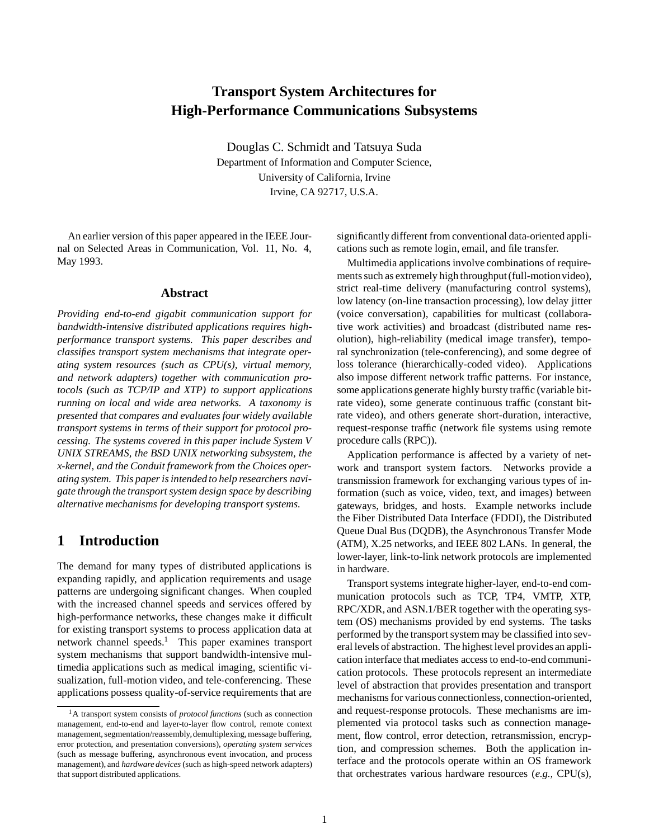# **Transport System Architectures for High-Performance Communications Subsystems**

Douglas C. Schmidt and Tatsuya Suda Department of Information and Computer Science, University of California, Irvine Irvine, CA 92717, U.S.A.

An earlier version of this paper appeared in the IEEE Journal on Selected Areas in Communication, Vol. 11, No. 4, May 1993.

#### **Abstract**

*Providing end-to-end gigabit communication support for bandwidth-intensive distributed applications requires highperformance transport systems. This paper describes and classifies transport system mechanisms that integrate operating system resources (such as CPU(s), virtual memory, and network adapters) together with communication protocols (such as TCP/IP and XTP) to support applications running on local and wide area networks. A taxonomy is presented that compares and evaluates four widely available transport systems in terms of their support for protocol processing. The systems covered in this paper include System V UNIX STREAMS, the BSD UNIX networking subsystem, the x-kernel, and the Conduit framework from the Choices operating system. This paper is intended to help researchers navigate through the transport system design space by describing alternative mechanisms for developing transport systems.*

## **1 Introduction**

The demand for many types of distributed applications is expanding rapidly, and application requirements and usage patterns are undergoing significant changes. When coupled with the increased channel speeds and services offered by high-performance networks, these changes make it difficult for existing transport systems to process application data at network channel speeds.<sup>1</sup> This paper examines transport system mechanisms that support bandwidth-intensive multimedia applications such as medical imaging, scientific visualization, full-motion video, and tele-conferencing. These applications possess quality-of-service requirements that are significantly different from conventional data-oriented applications such as remote login, email, and file transfer.

Multimedia applications involve combinations of requirements such as extremely high throughput (full-motion video), strict real-time delivery (manufacturing control systems), low latency (on-line transaction processing), low delay jitter (voice conversation), capabilities for multicast (collaborative work activities) and broadcast (distributed name resolution), high-reliability (medical image transfer), temporal synchronization (tele-conferencing), and some degree of loss tolerance (hierarchically-coded video). Applications also impose different network traffic patterns. For instance, some applications generate highly bursty traffic (variable bitrate video), some generate continuous traffic (constant bitrate video), and others generate short-duration, interactive, request-response traffic (network file systems using remote procedure calls (RPC)).

Application performance is affected by a variety of network and transport system factors. Networks provide a transmission framework for exchanging various types of information (such as voice, video, text, and images) between gateways, bridges, and hosts. Example networks include the Fiber Distributed Data Interface (FDDI), the Distributed Queue Dual Bus (DQDB), the Asynchronous Transfer Mode (ATM), X.25 networks, and IEEE 802 LANs. In general, the lower-layer, link-to-link network protocols are implemented in hardware.

Transport systems integrate higher-layer, end-to-end communication protocols such as TCP, TP4, VMTP, XTP, RPC/XDR, and ASN.1/BER together with the operating system (OS) mechanisms provided by end systems. The tasks performed by the transport system may be classified into several levels of abstraction. The highest level provides an application interface that mediates access to end-to-end communication protocols. These protocols represent an intermediate level of abstraction that provides presentation and transport mechanisms for various connectionless, connection-oriented, and request-response protocols. These mechanisms are implemented via protocol tasks such as connection management, flow control, error detection, retransmission, encryption, and compression schemes. Both the application interface and the protocols operate within an OS framework that orchestrates various hardware resources (*e.g.,* CPU(s),

<sup>1</sup>A transport system consists of *protocol functions* (such as connection management, end-to-end and layer-to-layer flow control, remote context management, segmentation/reassembly,demultiplexing, message buffering, error protection, and presentation conversions), *operating system services* (such as message buffering, asynchronous event invocation, and process management), and *hardware devices* (such as high-speed network adapters) that support distributed applications.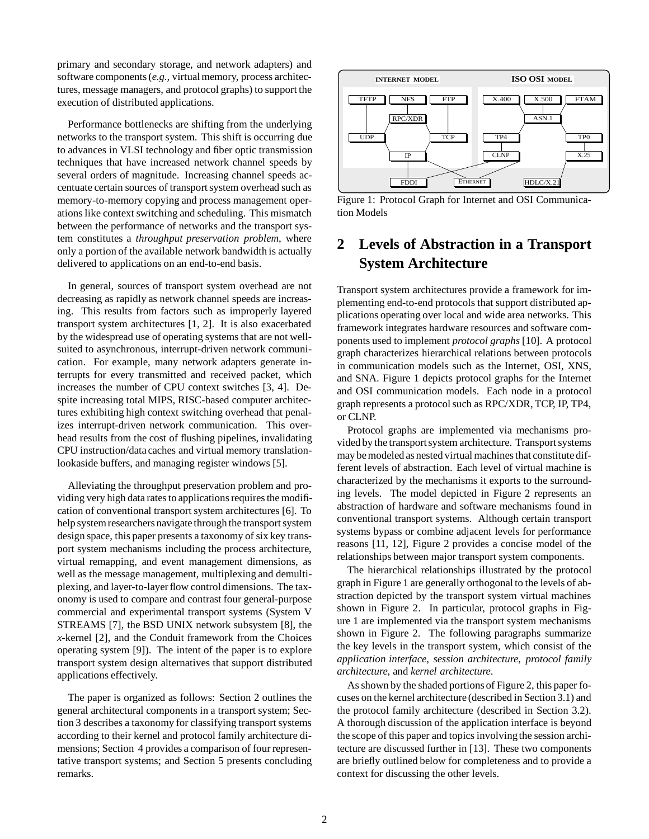primary and secondary storage, and network adapters) and software components (*e.g.,* virtual memory, process architectures, message managers, and protocol graphs) to support the execution of distributed applications.

Performance bottlenecks are shifting from the underlying networks to the transport system. This shift is occurring due to advances in VLSI technology and fiber optic transmission techniques that have increased network channel speeds by several orders of magnitude. Increasing channel speeds accentuate certain sources of transport system overhead such as memory-to-memory copying and process management operations like context switching and scheduling. This mismatch between the performance of networks and the transport system constitutes a *throughput preservation problem*, where only a portion of the available network bandwidth is actually delivered to applications on an end-to-end basis.

In general, sources of transport system overhead are not decreasing as rapidly as network channel speeds are increasing. This results from factors such as improperly layered transport system architectures [1, 2]. It is also exacerbated by the widespread use of operating systems that are not wellsuited to asynchronous, interrupt-driven network communication. For example, many network adapters generate interrupts for every transmitted and received packet, which increases the number of CPU context switches [3, 4]. Despite increasing total MIPS, RISC-based computer architectures exhibiting high context switching overhead that penalizes interrupt-driven network communication. This overhead results from the cost of flushing pipelines, invalidating CPU instruction/data caches and virtual memory translationlookaside buffers, and managing register windows [5].

Alleviating the throughput preservation problem and providing very high data rates to applications requires the modification of conventional transport system architectures [6]. To help system researchers navigate through the transport system design space, this paper presents a taxonomy of six key transport system mechanisms including the process architecture, virtual remapping, and event management dimensions, as well as the message management, multiplexing and demultiplexing, and layer-to-layer flow control dimensions. The taxonomy is used to compare and contrast four general-purpose commercial and experimental transport systems (System V STREAMS [7], the BSD UNIX network subsystem [8], the *x*-kernel [2], and the Conduit framework from the Choices operating system [9]). The intent of the paper is to explore transport system design alternatives that support distributed applications effectively.

The paper is organized as follows: Section 2 outlines the general architectural components in a transport system; Section 3 describes a taxonomy for classifying transport systems according to their kernel and protocol family architecture dimensions; Section 4 provides a comparison of four representative transport systems; and Section 5 presents concluding remarks.



Figure 1: Protocol Graph for Internet and OSI Communication Models

# **2 Levels of Abstraction in a Transport System Architecture**

Transport system architectures provide a framework for implementing end-to-end protocols that support distributed applications operating over local and wide area networks. This framework integrates hardware resources and software components used to implement *protocol graphs* [10]. A protocol graph characterizes hierarchical relations between protocols in communication models such as the Internet, OSI, XNS, and SNA. Figure 1 depicts protocol graphs for the Internet and OSI communication models. Each node in a protocol graph represents a protocol such as RPC/XDR, TCP, IP, TP4, or CLNP.

Protocol graphs are implemented via mechanisms provided by the transport system architecture. Transport systems may be modeled as nested virtual machines that constitute different levels of abstraction. Each level of virtual machine is characterized by the mechanisms it exports to the surrounding levels. The model depicted in Figure 2 represents an abstraction of hardware and software mechanisms found in conventional transport systems. Although certain transport systems bypass or combine adjacent levels for performance reasons [11, 12], Figure 2 provides a concise model of the relationships between major transport system components.

The hierarchical relationships illustrated by the protocol graph in Figure 1 are generally orthogonal to the levels of abstraction depicted by the transport system virtual machines shown in Figure 2. In particular, protocol graphs in Figure 1 are implemented via the transport system mechanisms shown in Figure 2. The following paragraphs summarize the key levels in the transport system, which consist of the *application interface*, *session architecture*, *protocol family architecture*, and *kernel architecture*.

As shown by the shaded portions of Figure 2, this paper focuses on the kernel architecture (described in Section 3.1) and the protocol family architecture (described in Section 3.2). A thorough discussion of the application interface is beyond the scope of this paper and topics involving the session architecture are discussed further in [13]. These two components are briefly outlined below for completeness and to provide a context for discussing the other levels.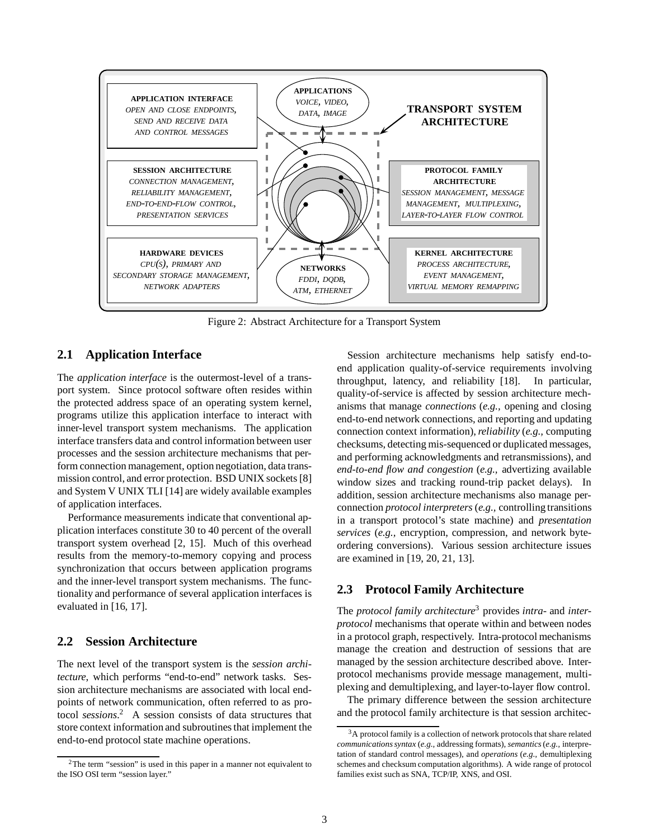

Figure 2: Abstract Architecture for a Transport System

## **2.1 Application Interface**

The *application interface* is the outermost-level of a transport system. Since protocol software often resides within the protected address space of an operating system kernel, programs utilize this application interface to interact with inner-level transport system mechanisms. The application interface transfers data and control information between user processes and the session architecture mechanisms that perform connection management, option negotiation, data transmission control, and error protection. BSD UNIX sockets [8] and System V UNIX TLI [14] are widely available examples of application interfaces.

Performance measurements indicate that conventional application interfaces constitute 30 to 40 percent of the overall transport system overhead [2, 15]. Much of this overhead results from the memory-to-memory copying and process synchronization that occurs between application programs and the inner-level transport system mechanisms. The functionality and performance of several application interfaces is evaluated in [16, 17].

## **2.2 Session Architecture**

The next level of the transport system is the *session architecture*, which performs "end-to-end" network tasks. Session architecture mechanisms are associated with local endpoints of network communication, often referred to as protocol *sessions*. <sup>2</sup> A session consists of data structures that store context information and subroutines that implement the end-to-end protocol state machine operations.

Session architecture mechanisms help satisfy end-toend application quality-of-service requirements involving throughput, latency, and reliability [18]. In particular, quality-of-service is affected by session architecture mechanisms that manage *connections* (*e.g.,* opening and closing end-to-end network connections, and reporting and updating connection context information),*reliability* (*e.g.,* computing checksums, detecting mis-sequenced or duplicated messages, and performing acknowledgments and retransmissions), and *end-to-end flow and congestion* (*e.g.,* advertizing available window sizes and tracking round-trip packet delays). In addition, session architecture mechanisms also manage perconnection *protocol interpreters* (*e.g.,* controlling transitions in a transport protocol's state machine) and *presentation services* (*e.g.,* encryption, compression, and network byteordering conversions). Various session architecture issues are examined in [19, 20, 21, 13].

## **2.3 Protocol Family Architecture**

The *protocol family architecture*<sup>3</sup> provides *intra-* and *interprotocol* mechanisms that operate within and between nodes in a protocol graph, respectively. Intra-protocol mechanisms manage the creation and destruction of sessions that are managed by the session architecture described above. Interprotocol mechanisms provide message management, multiplexing and demultiplexing, and layer-to-layer flow control.

The primary difference between the session architecture and the protocol family architecture is that session architec-

<sup>&</sup>lt;sup>2</sup>The term "session" is used in this paper in a manner not equivalent to the ISO OSI term "session layer."

 $3A$  protocol family is a collection of network protocols that share related *communications syntax* (*e.g.,* addressing formats), *semantics*(*e.g.,* interpretation of standard control messages), and *operations* (*e.g.,* demultiplexing schemes and checksum computation algorithms). A wide range of protocol families exist such as SNA, TCP/IP, XNS, and OSI.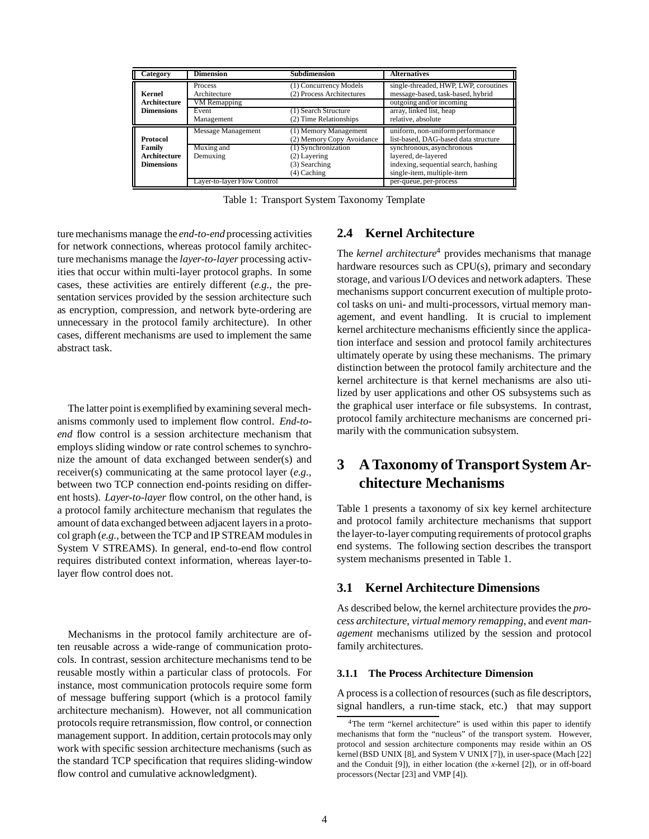| <b>Category</b>     | <b>Dimension</b>            | <b>Subdimension</b>                                 | <b>Alternatives</b>                                                        |
|---------------------|-----------------------------|-----------------------------------------------------|----------------------------------------------------------------------------|
| Kernel              | Process<br>Architecture     | (1) Concurrency Models<br>(2) Process Architectures | single-threaded, HWP, LWP, coroutines<br>message-based, task-based, hybrid |
| Architecture        | VM Remapping                |                                                     | outgoing and/or incoming                                                   |
| <b>Dimensions</b>   | Event<br>Management         | (1) Search Structure<br>(2) Time Relationships      | array, linked list, heap<br>relative, absolute                             |
|                     |                             |                                                     |                                                                            |
|                     | Message Management          | (1) Memory Management                               | uniform, non-uniform performance                                           |
| <b>Protocol</b>     |                             | (2) Memory Copy Avoidance                           | list-based, DAG-based data structure                                       |
| Family              | Muxing and                  | (1) Synchronization                                 | synchronous, asynchronous                                                  |
| <b>Architecture</b> | Demuxing                    | $(2)$ Layering                                      | layered, de-layered                                                        |
| <b>Dimensions</b>   |                             | (3) Searching                                       | indexing, sequential search, hashing                                       |
|                     |                             | $(4)$ Caching                                       | single-item, multiple-item                                                 |
|                     | Layer-to-layer Flow Control |                                                     | per-queue, per-process                                                     |

Table 1: Transport System Taxonomy Template

ture mechanisms manage the *end-to-end* processing activities for network connections, whereas protocol family architecture mechanisms manage the *layer-to-layer* processing activities that occur within multi-layer protocol graphs. In some cases, these activities are entirely different (*e.g.,* the presentation services provided by the session architecture such as encryption, compression, and network byte-ordering are unnecessary in the protocol family architecture). In other cases, different mechanisms are used to implement the same abstract task.

The latter point is exemplified by examining several mechanisms commonly used to implement flow control. *End-toend* flow control is a session architecture mechanism that employs sliding window or rate control schemes to synchronize the amount of data exchanged between sender(s) and receiver(s) communicating at the same protocol layer (*e.g.,* between two TCP connection end-points residing on different hosts). *Layer-to-layer* flow control, on the other hand, is a protocol family architecture mechanism that regulates the amount of data exchanged between adjacent layers in a protocol graph (*e.g.,* between the TCP and IP STREAM modules in System V STREAMS). In general, end-to-end flow control requires distributed context information, whereas layer-tolayer flow control does not.

Mechanisms in the protocol family architecture are often reusable across a wide-range of communication protocols. In contrast, session architecture mechanisms tend to be reusable mostly within a particular class of protocols. For instance, most communication protocols require some form of message buffering support (which is a protocol family architecture mechanism). However, not all communication protocols require retransmission, flow control, or connection management support. In addition, certain protocols may only work with specific session architecture mechanisms (such as the standard TCP specification that requires sliding-window flow control and cumulative acknowledgment).

## **2.4 Kernel Architecture**

The *kernel architecture*<sup>4</sup> provides mechanisms that manage hardware resources such as CPU(s), primary and secondary storage, and various I/O devices and network adapters. These mechanisms support concurrent execution of multiple protocol tasks on uni- and multi-processors, virtual memory management, and event handling. It is crucial to implement kernel architecture mechanisms efficiently since the application interface and session and protocol family architectures ultimately operate by using these mechanisms. The primary distinction between the protocol family architecture and the kernel architecture is that kernel mechanisms are also utilized by user applications and other OS subsystems such as the graphical user interface or file subsystems. In contrast, protocol family architecture mechanisms are concerned primarily with the communication subsystem.

# **3 A Taxonomy of Transport System Architecture Mechanisms**

Table 1 presents a taxonomy of six key kernel architecture and protocol family architecture mechanisms that support the layer-to-layer computing requirements of protocol graphs end systems. The following section describes the transport system mechanisms presented in Table 1.

## **3.1 Kernel Architecture Dimensions**

As described below, the kernel architecture provides the *process architecture*, *virtual memory remapping*, and *event management* mechanisms utilized by the session and protocol family architectures.

## **3.1.1 The Process Architecture Dimension**

A process is a collection of resources (such as file descriptors, signal handlers, a run-time stack, etc.) that may support

<sup>&</sup>lt;sup>4</sup>The term "kernel architecture" is used within this paper to identify mechanisms that form the "nucleus" of the transport system. However, protocol and session architecture components may reside within an OS kernel (BSD UNIX [8], and System V UNIX [7]), in user-space (Mach [22] and the Conduit [9]), in either location (the *x*-kernel [2]), or in off-board processors (Nectar [23] and VMP [4]).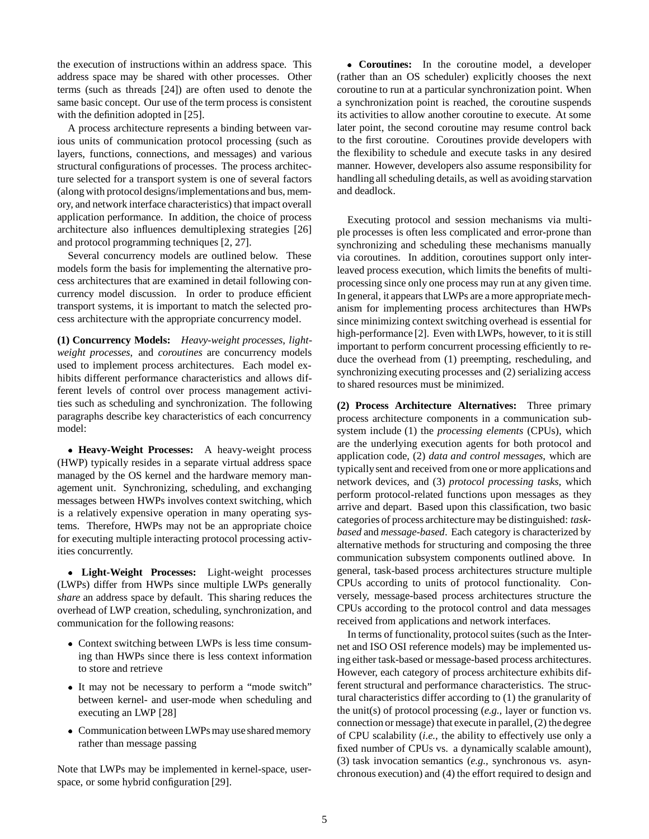the execution of instructions within an address space. This address space may be shared with other processes. Other terms (such as threads [24]) are often used to denote the same basic concept. Our use of the term process is consistent with the definition adopted in [25].

A process architecture represents a binding between various units of communication protocol processing (such as layers, functions, connections, and messages) and various structural configurations of processes. The process architecture selected for a transport system is one of several factors (along with protocol designs/implementationsand bus, memory, and network interface characteristics) that impact overall application performance. In addition, the choice of process architecture also influences demultiplexing strategies [26] and protocol programming techniques [2, 27].

Several concurrency models are outlined below. These models form the basis for implementing the alternative process architectures that are examined in detail following concurrency model discussion. In order to produce efficient transport systems, it is important to match the selected process architecture with the appropriate concurrency model.

**(1) Concurrency Models:** *Heavy-weight processes*, *lightweight processes*, and *coroutines* are concurrency models used to implement process architectures. Each model exhibits different performance characteristics and allows different levels of control over process management activities such as scheduling and synchronization. The following paragraphs describe key characteristics of each concurrency model:

 **Heavy-Weight Processes:** A heavy-weight process (HWP) typically resides in a separate virtual address space managed by the OS kernel and the hardware memory management unit. Synchronizing, scheduling, and exchanging messages between HWPs involves context switching, which is a relatively expensive operation in many operating systems. Therefore, HWPs may not be an appropriate choice for executing multiple interacting protocol processing activities concurrently.

 **Light-Weight Processes:** Light-weight processes (LWPs) differ from HWPs since multiple LWPs generally *share* an address space by default. This sharing reduces the overhead of LWP creation, scheduling, synchronization, and communication for the following reasons:

- Context switching between LWPs is less time consuming than HWPs since there is less context information to store and retrieve
- It may not be necessary to perform a "mode switch" between kernel- and user-mode when scheduling and executing an LWP [28]
- Communication between LWPs may use shared memory rather than message passing

Note that LWPs may be implemented in kernel-space, userspace, or some hybrid configuration [29].

 **Coroutines:** In the coroutine model, a developer (rather than an OS scheduler) explicitly chooses the next coroutine to run at a particular synchronization point. When a synchronization point is reached, the coroutine suspends its activities to allow another coroutine to execute. At some later point, the second coroutine may resume control back to the first coroutine. Coroutines provide developers with the flexibility to schedule and execute tasks in any desired manner. However, developers also assume responsibility for handling all scheduling details, as well as avoiding starvation and deadlock.

Executing protocol and session mechanisms via multiple processes is often less complicated and error-prone than synchronizing and scheduling these mechanisms manually via coroutines. In addition, coroutines support only interleaved process execution, which limits the benefits of multiprocessing since only one process may run at any given time. In general, it appears that LWPs are a more appropriate mechanism for implementing process architectures than HWPs since minimizing context switching overhead is essential for high-performance [2]. Even with LWPs, however, to it is still important to perform concurrent processing efficiently to reduce the overhead from (1) preempting, rescheduling, and synchronizing executing processes and (2) serializing access to shared resources must be minimized.

**(2) Process Architecture Alternatives:** Three primary process architecture components in a communication subsystem include (1) the *processing elements* (CPUs), which are the underlying execution agents for both protocol and application code, (2) *data and control messages*, which are typicallysent and received from one or more applications and network devices, and (3) *protocol processing tasks*, which perform protocol-related functions upon messages as they arrive and depart. Based upon this classification, two basic categories of process architecture may be distinguished: *taskbased* and *message-based*. Each category is characterized by alternative methods for structuring and composing the three communication subsystem components outlined above. In general, task-based process architectures structure multiple CPUs according to units of protocol functionality. Conversely, message-based process architectures structure the CPUs according to the protocol control and data messages received from applications and network interfaces.

In terms of functionality, protocol suites (such as the Internet and ISO OSI reference models) may be implemented using either task-based or message-based process architectures. However, each category of process architecture exhibits different structural and performance characteristics. The structural characteristics differ according to (1) the granularity of the unit(s) of protocol processing (*e.g.,* layer or function vs. connection or message) that execute in parallel, (2) the degree of CPU scalability (*i.e.,* the ability to effectively use only a fixed number of CPUs vs. a dynamically scalable amount), (3) task invocation semantics (*e.g.,* synchronous vs. asynchronous execution) and (4) the effort required to design and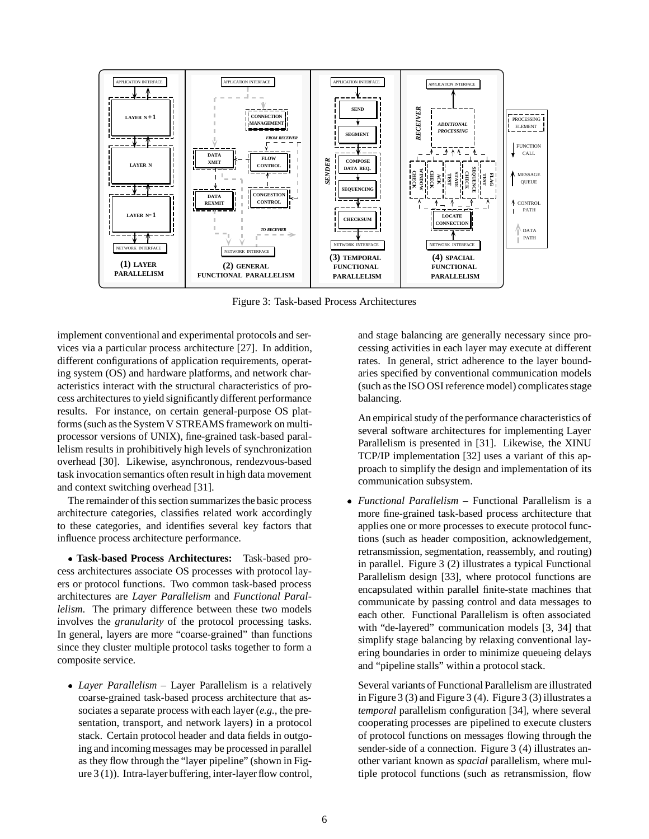![](_page_5_Figure_0.jpeg)

Figure 3: Task-based Process Architectures

implement conventional and experimental protocols and services via a particular process architecture [27]. In addition, different configurations of application requirements, operating system (OS) and hardware platforms, and network characteristics interact with the structural characteristics of process architectures to yield significantly different performance results. For instance, on certain general-purpose OS platforms (such as the System V STREAMS framework on multiprocessor versions of UNIX), fine-grained task-based parallelism results in prohibitively high levels of synchronization overhead [30]. Likewise, asynchronous, rendezvous-based task invocation semantics often result in high data movement and context switching overhead [31].

The remainder of this section summarizes the basic process architecture categories, classifies related work accordingly to these categories, and identifies several key factors that influence process architecture performance.

 **Task-based Process Architectures:** Task-based process architectures associate OS processes with protocol layers or protocol functions. Two common task-based process architectures are *Layer Parallelism* and *Functional Parallelism*. The primary difference between these two models involves the *granularity* of the protocol processing tasks. In general, layers are more "coarse-grained" than functions since they cluster multiple protocol tasks together to form a composite service.

 *Layer Parallelism* – Layer Parallelism is a relatively coarse-grained task-based process architecture that associates a separate process with each layer (*e.g.,* the presentation, transport, and network layers) in a protocol stack. Certain protocol header and data fields in outgoing and incoming messages may be processed in parallel as they flow through the "layer pipeline" (shown in Figure 3 (1)). Intra-layer buffering, inter-layer flow control,

and stage balancing are generally necessary since processing activities in each layer may execute at different rates. In general, strict adherence to the layer boundaries specified by conventional communication models (such as the ISO OSI reference model) complicates stage balancing.

An empirical study of the performance characteristics of several software architectures for implementing Layer Parallelism is presented in [31]. Likewise, the XINU TCP/IP implementation [32] uses a variant of this approach to simplify the design and implementation of its communication subsystem.

 *Functional Parallelism* – Functional Parallelism is a more fine-grained task-based process architecture that applies one or more processes to execute protocol functions (such as header composition, acknowledgement, retransmission, segmentation, reassembly, and routing) in parallel. Figure 3 (2) illustrates a typical Functional Parallelism design [33], where protocol functions are encapsulated within parallel finite-state machines that communicate by passing control and data messages to each other. Functional Parallelism is often associated with "de-layered" communication models [3, 34] that simplify stage balancing by relaxing conventional layering boundaries in order to minimize queueing delays and "pipeline stalls" within a protocol stack.

Several variants of Functional Parallelism are illustrated in Figure 3 (3) and Figure 3 (4). Figure 3 (3) illustrates a *temporal* parallelism configuration [34], where several cooperating processes are pipelined to execute clusters of protocol functions on messages flowing through the sender-side of a connection. Figure 3 (4) illustrates another variant known as *spacial* parallelism, where multiple protocol functions (such as retransmission, flow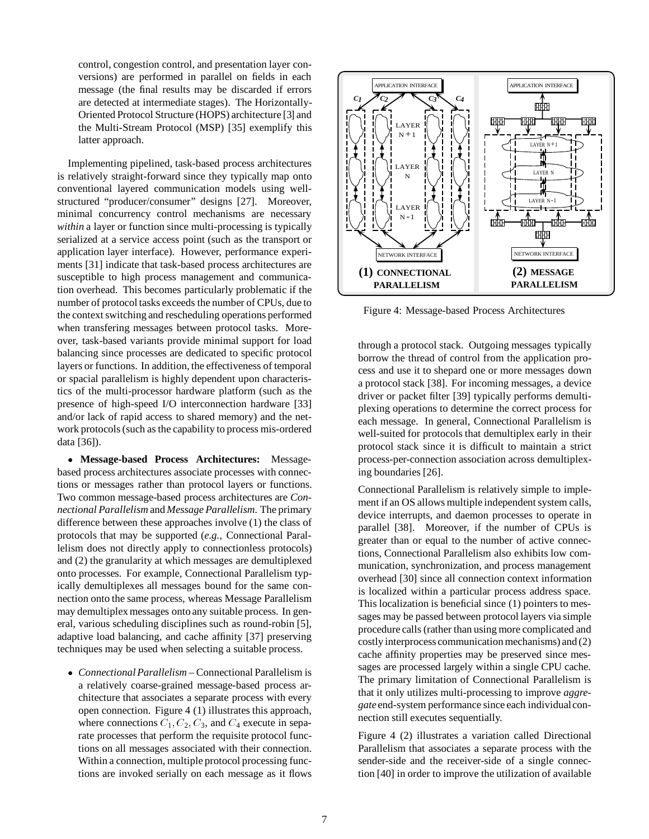control, congestion control, and presentation layer conversions) are performed in parallel on fields in each message (the final results may be discarded if errors are detected at intermediate stages). The Horizontally-Oriented Protocol Structure (HOPS) architecture [3] and the Multi-Stream Protocol (MSP) [35] exemplify this latter approach.

Implementing pipelined, task-based process architectures is relatively straight-forward since they typically map onto conventional layered communication models using wellstructured "producer/consumer" designs [27]. Moreover, minimal concurrency control mechanisms are necessary *within* a layer or function since multi-processing is typically serialized at a service access point (such as the transport or application layer interface). However, performance experiments [31] indicate that task-based process architectures are susceptible to high process management and communication overhead. This becomes particularly problematic if the number of protocol tasks exceeds the number of CPUs, due to the context switching and rescheduling operations performed when transfering messages between protocol tasks. Moreover, task-based variants provide minimal support for load balancing since processes are dedicated to specific protocol layers or functions. In addition, the effectiveness of temporal or spacial parallelism is highly dependent upon characteristics of the multi-processor hardware platform (such as the presence of high-speed I/O interconnection hardware [33] and/or lack of rapid access to shared memory) and the network protocols (such as the capability to process mis-ordered data [36]).

 **Message-based Process Architectures:** Messagebased process architectures associate processes with connections or messages rather than protocol layers or functions. Two common message-based process architectures are *Connectional Parallelism* and *Message Parallelism*. The primary difference between these approaches involve (1) the class of protocols that may be supported (*e.g.,* Connectional Parallelism does not directly apply to connectionless protocols) and (2) the granularity at which messages are demultiplexed onto processes. For example, Connectional Parallelism typically demultiplexes all messages bound for the same connection onto the same process, whereas Message Parallelism may demultiplex messages onto any suitable process. In general, various scheduling disciplines such as round-robin [5], adaptive load balancing, and cache affinity [37] preserving techniques may be used when selecting a suitable process.

 *Connectional Parallelism* – Connectional Parallelism is a relatively coarse-grained message-based process architecture that associates a separate process with every open connection. Figure 4 (1) illustrates this approach, where connections  $C_1$ ,  $C_2$ ,  $C_3$ , and  $C_4$  execute in separate processes that perform the requisite protocol functions on all messages associated with their connection. Within a connection, multiple protocol processing functions are invoked serially on each message as it flows

![](_page_6_Figure_4.jpeg)

Figure 4: Message-based Process Architectures

through a protocol stack. Outgoing messages typically borrow the thread of control from the application process and use it to shepard one or more messages down a protocol stack [38]. For incoming messages, a device driver or packet filter [39] typically performs demultiplexing operations to determine the correct process for each message. In general, Connectional Parallelism is well-suited for protocols that demultiplex early in their protocol stack since it is difficult to maintain a strict process-per-connection association across demultiplexing boundaries [26].

Connectional Parallelism is relatively simple to implement if an OS allows multiple independent system calls, device interrupts, and daemon processes to operate in parallel [38]. Moreover, if the number of CPUs is greater than or equal to the number of active connections, Connectional Parallelism also exhibits low communication, synchronization, and process management overhead [30] since all connection context information is localized within a particular process address space. This localization is beneficial since (1) pointers to messages may be passed between protocol layers via simple procedure calls (rather than using more complicated and costly interprocess communication mechanisms) and (2) cache affinity properties may be preserved since messages are processed largely within a single CPU cache. The primary limitation of Connectional Parallelism is that it only utilizes multi-processing to improve *aggregate* end-system performance since each individualconnection still executes sequentially.

Figure 4 (2) illustrates a variation called Directional Parallelism that associates a separate process with the sender-side and the receiver-side of a single connection [40] in order to improve the utilization of available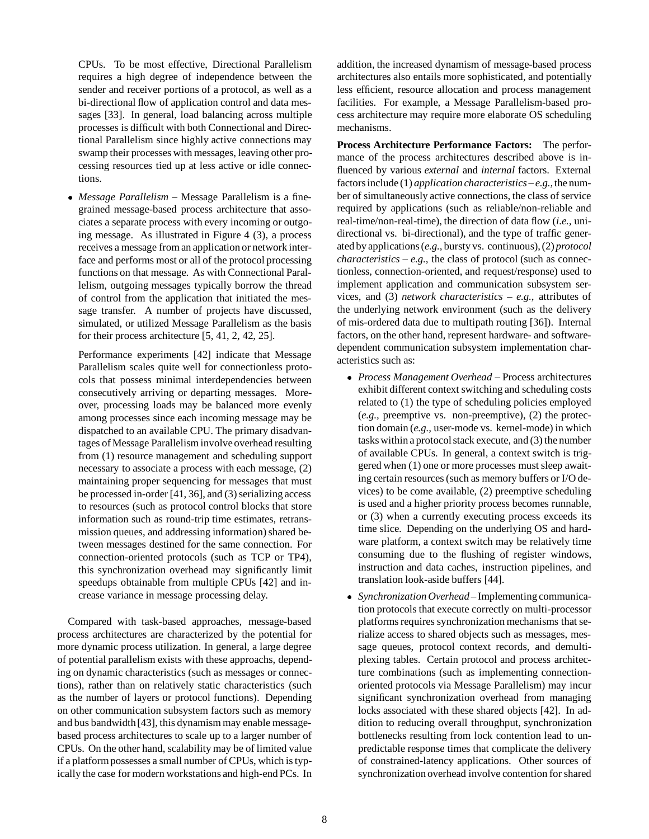CPUs. To be most effective, Directional Parallelism requires a high degree of independence between the sender and receiver portions of a protocol, as well as a bi-directional flow of application control and data messages [33]. In general, load balancing across multiple processes is difficult with both Connectional and Directional Parallelism since highly active connections may swamp their processes with messages, leaving other processing resources tied up at less active or idle connections.

 *Message Parallelism* – Message Parallelism is a finegrained message-based process architecture that associates a separate process with every incoming or outgoing message. As illustrated in Figure 4 (3), a process receives a message from an application or network interface and performs most or all of the protocol processing functions on that message. As with Connectional Parallelism, outgoing messages typically borrow the thread of control from the application that initiated the message transfer. A number of projects have discussed, simulated, or utilized Message Parallelism as the basis for their process architecture [5, 41, 2, 42, 25].

Performance experiments [42] indicate that Message Parallelism scales quite well for connectionless protocols that possess minimal interdependencies between consecutively arriving or departing messages. Moreover, processing loads may be balanced more evenly among processes since each incoming message may be dispatched to an available CPU. The primary disadvantages of Message Parallelism involve overhead resulting from (1) resource management and scheduling support necessary to associate a process with each message, (2) maintaining proper sequencing for messages that must be processed in-order [41, 36], and (3) serializing access to resources (such as protocol control blocks that store information such as round-trip time estimates, retransmission queues, and addressing information) shared between messages destined for the same connection. For connection-oriented protocols (such as TCP or TP4), this synchronization overhead may significantly limit speedups obtainable from multiple CPUs [42] and increase variance in message processing delay.

Compared with task-based approaches, message-based process architectures are characterized by the potential for more dynamic process utilization. In general, a large degree of potential parallelism exists with these approachs, depending on dynamic characteristics (such as messages or connections), rather than on relatively static characteristics (such as the number of layers or protocol functions). Depending on other communication subsystem factors such as memory and bus bandwidth[43], this dynamism may enable messagebased process architectures to scale up to a larger number of CPUs. On the other hand, scalability may be of limited value if a platform possesses a small number of CPUs, which is typically the case for modern workstations and high-end PCs. In

addition, the increased dynamism of message-based process architectures also entails more sophisticated, and potentially less efficient, resource allocation and process management facilities. For example, a Message Parallelism-based process architecture may require more elaborate OS scheduling mechanisms.

**Process Architecture Performance Factors:** The performance of the process architectures described above is influenced by various *external* and *internal* factors. External factors include (1) *application characteristics* – *e.g.,*the number of simultaneously active connections, the class of service required by applications (such as reliable/non-reliable and real-time/non-real-time), the direction of data flow (*i.e.,* unidirectional vs. bi-directional), and the type of traffic generated by applications (*e.g.,* bursty vs. continuous), (2) *protocol characteristics* – *e.g.*, the class of protocol (such as connectionless, connection-oriented, and request/response) used to implement application and communication subsystem services, and (3) *network characteristics* – *e.g.,* attributes of the underlying network environment (such as the delivery of mis-ordered data due to multipath routing [36]). Internal factors, on the other hand, represent hardware- and softwaredependent communication subsystem implementation characteristics such as:

- *Process Management Overhead* Process architectures exhibit different context switching and scheduling costs related to (1) the type of scheduling policies employed (*e.g.,* preemptive vs. non-preemptive), (2) the protection domain (*e.g.,* user-mode vs. kernel-mode) in which tasks within a protocol stack execute, and (3) the number of available CPUs. In general, a context switch is triggered when (1) one or more processes must sleep awaiting certain resources (such as memory buffers or I/O devices) to be come available, (2) preemptive scheduling is used and a higher priority process becomes runnable, or (3) when a currently executing process exceeds its time slice. Depending on the underlying OS and hardware platform, a context switch may be relatively time consuming due to the flushing of register windows, instruction and data caches, instruction pipelines, and translation look-aside buffers [44].
- *Synchronization Overhead* Implementing communication protocols that execute correctly on multi-processor platforms requires synchronization mechanisms that serialize access to shared objects such as messages, message queues, protocol context records, and demultiplexing tables. Certain protocol and process architecture combinations (such as implementing connectionoriented protocols via Message Parallelism) may incur significant synchronization overhead from managing locks associated with these shared objects [42]. In addition to reducing overall throughput, synchronization bottlenecks resulting from lock contention lead to unpredictable response times that complicate the delivery of constrained-latency applications. Other sources of synchronization overhead involve contention for shared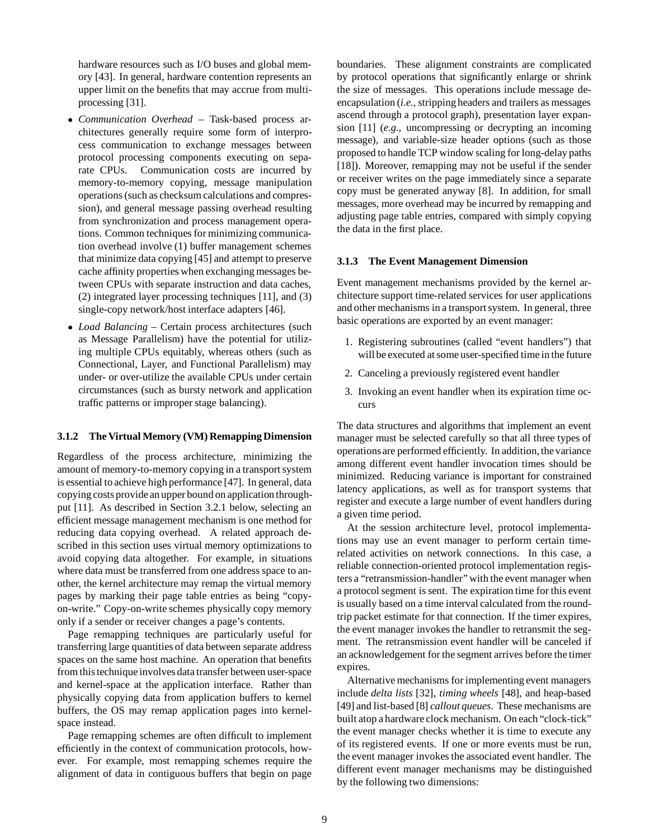hardware resources such as I/O buses and global memory [43]. In general, hardware contention represents an upper limit on the benefits that may accrue from multiprocessing [31].

- *Communication Overhead* Task-based process architectures generally require some form of interprocess communication to exchange messages between protocol processing components executing on separate CPUs. Communication costs are incurred by memory-to-memory copying, message manipulation operations (such as checksum calculations and compression), and general message passing overhead resulting from synchronization and process management operations. Common techniques for minimizing communication overhead involve (1) buffer management schemes that minimize data copying [45] and attempt to preserve cache affinity properties when exchanging messages between CPUs with separate instruction and data caches, (2) integrated layer processing techniques [11], and (3) single-copy network/host interface adapters [46].
- *Load Balancing* Certain process architectures (such as Message Parallelism) have the potential for utilizing multiple CPUs equitably, whereas others (such as Connectional, Layer, and Functional Parallelism) may under- or over-utilize the available CPUs under certain circumstances (such as bursty network and application traffic patterns or improper stage balancing).

#### **3.1.2 The Virtual Memory (VM) Remapping Dimension**

Regardless of the process architecture, minimizing the amount of memory-to-memory copying in a transport system is essential to achieve high performance [47]. In general, data copying costs provide an upper bound on application throughput [11]. As described in Section 3.2.1 below, selecting an efficient message management mechanism is one method for reducing data copying overhead. A related approach described in this section uses virtual memory optimizations to avoid copying data altogether. For example, in situations where data must be transferred from one address space to another, the kernel architecture may remap the virtual memory pages by marking their page table entries as being "copyon-write." Copy-on-write schemes physically copy memory only if a sender or receiver changes a page's contents.

Page remapping techniques are particularly useful for transferring large quantities of data between separate address spaces on the same host machine. An operation that benefits from this technique involves data transfer between user-space and kernel-space at the application interface. Rather than physically copying data from application buffers to kernel buffers, the OS may remap application pages into kernelspace instead.

Page remapping schemes are often difficult to implement efficiently in the context of communication protocols, however. For example, most remapping schemes require the alignment of data in contiguous buffers that begin on page

boundaries. These alignment constraints are complicated by protocol operations that significantly enlarge or shrink the size of messages. This operations include message deencapsulation (*i.e.,* stripping headers and trailers as messages ascend through a protocol graph), presentation layer expansion [11] (*e.g.,* uncompressing or decrypting an incoming message), and variable-size header options (such as those proposed to handle TCP window scaling for long-delay paths [18]). Moreover, remapping may not be useful if the sender or receiver writes on the page immediately since a separate copy must be generated anyway [8]. In addition, for small messages, more overhead may be incurred by remapping and adjusting page table entries, compared with simply copying the data in the first place.

#### **3.1.3 The Event Management Dimension**

Event management mechanisms provided by the kernel architecture support time-related services for user applications and other mechanisms in a transport system. In general, three basic operations are exported by an event manager:

- 1. Registering subroutines (called "event handlers") that will be executed at some user-specified time in the future
- 2. Canceling a previously registered event handler
- 3. Invoking an event handler when its expiration time occurs

The data structures and algorithms that implement an event manager must be selected carefully so that all three types of operationsare performed efficiently. In addition, the variance among different event handler invocation times should be minimized. Reducing variance is important for constrained latency applications, as well as for transport systems that register and execute a large number of event handlers during a given time period.

At the session architecture level, protocol implementations may use an event manager to perform certain timerelated activities on network connections. In this case, a reliable connection-oriented protocol implementation registers a "retransmission-handler" with the event manager when a protocol segment is sent. The expiration time for this event is usually based on a time interval calculated from the roundtrip packet estimate for that connection. If the timer expires, the event manager invokes the handler to retransmit the segment. The retransmission event handler will be canceled if an acknowledgement for the segment arrives before the timer expires.

Alternative mechanisms for implementing event managers include *delta lists* [32], *timing wheels* [48], and heap-based [49] and list-based [8] *callout queues*. These mechanisms are built atop a hardware clock mechanism. On each "clock-tick" the event manager checks whether it is time to execute any of its registered events. If one or more events must be run, the event manager invokes the associated event handler. The different event manager mechanisms may be distinguished by the following two dimensions: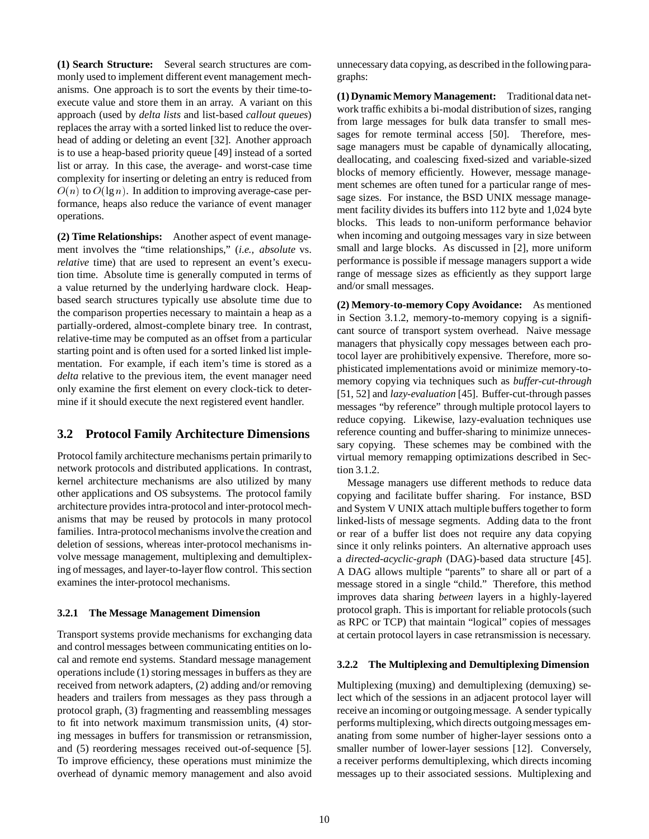**(1) Search Structure:** Several search structures are commonly used to implement different event management mechanisms. One approach is to sort the events by their time-toexecute value and store them in an array. A variant on this approach (used by *delta lists* and list-based *callout queues*) replaces the array with a sorted linked list to reduce the overhead of adding or deleting an event [32]. Another approach is to use a heap-based priority queue [49] instead of a sorted list or array. In this case, the average- and worst-case time complexity for inserting or deleting an entry is reduced from  $O(n)$  to  $O(\lg n)$ . In addition to improving average-case performance, heaps also reduce the variance of event manager operations.

**(2) Time Relationships:** Another aspect of event management involves the "time relationships," (*i.e., absolute* vs. *relative* time) that are used to represent an event's execution time. Absolute time is generally computed in terms of a value returned by the underlying hardware clock. Heapbased search structures typically use absolute time due to the comparison properties necessary to maintain a heap as a partially-ordered, almost-complete binary tree. In contrast, relative-time may be computed as an offset from a particular starting point and is often used for a sorted linked list implementation. For example, if each item's time is stored as a *delta* relative to the previous item, the event manager need only examine the first element on every clock-tick to determine if it should execute the next registered event handler.

## **3.2 Protocol Family Architecture Dimensions**

Protocol family architecture mechanisms pertain primarily to network protocols and distributed applications. In contrast, kernel architecture mechanisms are also utilized by many other applications and OS subsystems. The protocol family architecture provides intra-protocol and inter-protocol mechanisms that may be reused by protocols in many protocol families. Intra-protocol mechanisms involve the creation and deletion of sessions, whereas inter-protocol mechanisms involve message management, multiplexing and demultiplexing of messages, and layer-to-layer flow control. This section examines the inter-protocol mechanisms.

#### **3.2.1 The Message Management Dimension**

Transport systems provide mechanisms for exchanging data and control messages between communicating entities on local and remote end systems. Standard message management operations include (1) storing messages in buffers as they are received from network adapters, (2) adding and/or removing headers and trailers from messages as they pass through a protocol graph, (3) fragmenting and reassembling messages to fit into network maximum transmission units, (4) storing messages in buffers for transmission or retransmission, and (5) reordering messages received out-of-sequence [5]. To improve efficiency, these operations must minimize the overhead of dynamic memory management and also avoid

unnecessary data copying, as described in the followingparagraphs:

**(1) Dynamic Memory Management:** Traditional data network traffic exhibits a bi-modal distribution of sizes, ranging from large messages for bulk data transfer to small messages for remote terminal access [50]. Therefore, message managers must be capable of dynamically allocating, deallocating, and coalescing fixed-sized and variable-sized blocks of memory efficiently. However, message management schemes are often tuned for a particular range of message sizes. For instance, the BSD UNIX message management facility divides its buffers into 112 byte and 1,024 byte blocks. This leads to non-uniform performance behavior when incoming and outgoing messages vary in size between small and large blocks. As discussed in [2], more uniform performance is possible if message managers support a wide range of message sizes as efficiently as they support large and/or small messages.

**(2) Memory-to-memory Copy Avoidance:** As mentioned in Section 3.1.2, memory-to-memory copying is a significant source of transport system overhead. Naive message managers that physically copy messages between each protocol layer are prohibitively expensive. Therefore, more sophisticated implementations avoid or minimize memory-tomemory copying via techniques such as *buffer-cut-through* [51, 52] and *lazy-evaluation* [45]. Buffer-cut-through passes messages "by reference" through multiple protocol layers to reduce copying. Likewise, lazy-evaluation techniques use reference counting and buffer-sharing to minimize unnecessary copying. These schemes may be combined with the virtual memory remapping optimizations described in Section 3.1.2.

Message managers use different methods to reduce data copying and facilitate buffer sharing. For instance, BSD and System V UNIX attach multiple buffers together to form linked-lists of message segments. Adding data to the front or rear of a buffer list does not require any data copying since it only relinks pointers. An alternative approach uses a *directed-acyclic-graph* (DAG)-based data structure [45]. A DAG allows multiple "parents" to share all or part of a message stored in a single "child." Therefore, this method improves data sharing *between* layers in a highly-layered protocol graph. This is important for reliable protocols (such as RPC or TCP) that maintain "logical" copies of messages at certain protocol layers in case retransmission is necessary.

#### **3.2.2 The Multiplexing and Demultiplexing Dimension**

Multiplexing (muxing) and demultiplexing (demuxing) select which of the sessions in an adjacent protocol layer will receive an incoming or outgoingmessage. A sender typically performs multiplexing, which directs outgoing messages emanating from some number of higher-layer sessions onto a smaller number of lower-layer sessions [12]. Conversely, a receiver performs demultiplexing, which directs incoming messages up to their associated sessions. Multiplexing and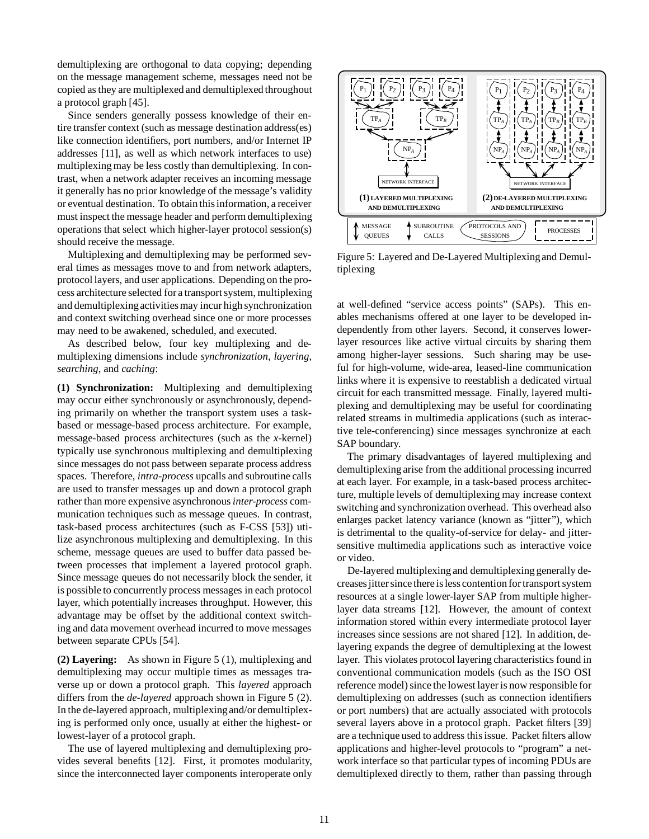demultiplexing are orthogonal to data copying; depending on the message management scheme, messages need not be copied as they are multiplexed and demultiplexed throughout a protocol graph [45].

Since senders generally possess knowledge of their entire transfer context (such as message destination address(es) like connection identifiers, port numbers, and/or Internet IP addresses [11], as well as which network interfaces to use) multiplexing may be less costly than demultiplexing. In contrast, when a network adapter receives an incoming message it generally has no prior knowledge of the message's validity or eventual destination. To obtain this information, a receiver must inspect the message header and perform demultiplexing operations that select which higher-layer protocol session(s) should receive the message.

Multiplexing and demultiplexing may be performed several times as messages move to and from network adapters, protocol layers, and user applications. Depending on the process architecture selected for a transport system, multiplexing and demultiplexingactivities may incur high synchronization and context switching overhead since one or more processes may need to be awakened, scheduled, and executed.

As described below, four key multiplexing and demultiplexing dimensions include *synchronization*, *layering*, *searching*, and *caching*:

**(1) Synchronization:** Multiplexing and demultiplexing may occur either synchronously or asynchronously, depending primarily on whether the transport system uses a taskbased or message-based process architecture. For example, message-based process architectures (such as the *x*-kernel) typically use synchronous multiplexing and demultiplexing since messages do not pass between separate process address spaces. Therefore, *intra-process* upcalls and subroutine calls are used to transfer messages up and down a protocol graph rather than more expensive asynchronous*inter-process* communication techniques such as message queues. In contrast, task-based process architectures (such as F-CSS [53]) utilize asynchronous multiplexing and demultiplexing. In this scheme, message queues are used to buffer data passed between processes that implement a layered protocol graph. Since message queues do not necessarily block the sender, it is possible to concurrently process messages in each protocol layer, which potentially increases throughput. However, this advantage may be offset by the additional context switching and data movement overhead incurred to move messages between separate CPUs [54].

**(2) Layering:** As shown in Figure 5 (1), multiplexing and demultiplexing may occur multiple times as messages traverse up or down a protocol graph. This *layered* approach differs from the *de-layered* approach shown in Figure 5 (2). In the de-layered approach, multiplexingand/or demultiplexing is performed only once, usually at either the highest- or lowest-layer of a protocol graph.

The use of layered multiplexing and demultiplexing provides several benefits [12]. First, it promotes modularity, since the interconnected layer components interoperate only

![](_page_10_Figure_7.jpeg)

Figure 5: Layered and De-Layered Multiplexingand Demultiplexing

at well-defined "service access points" (SAPs). This enables mechanisms offered at one layer to be developed independently from other layers. Second, it conserves lowerlayer resources like active virtual circuits by sharing them among higher-layer sessions. Such sharing may be useful for high-volume, wide-area, leased-line communication links where it is expensive to reestablish a dedicated virtual circuit for each transmitted message. Finally, layered multiplexing and demultiplexing may be useful for coordinating related streams in multimedia applications (such as interactive tele-conferencing) since messages synchronize at each SAP boundary.

The primary disadvantages of layered multiplexing and demultiplexing arise from the additional processing incurred at each layer. For example, in a task-based process architecture, multiple levels of demultiplexing may increase context switching and synchronization overhead. This overhead also enlarges packet latency variance (known as "jitter"), which is detrimental to the quality-of-service for delay- and jittersensitive multimedia applications such as interactive voice or video.

De-layered multiplexing and demultiplexing generally decreases jitter since there is less contention for transport system resources at a single lower-layer SAP from multiple higherlayer data streams [12]. However, the amount of context information stored within every intermediate protocol layer increases since sessions are not shared [12]. In addition, delayering expands the degree of demultiplexing at the lowest layer. This violates protocol layering characteristics found in conventional communication models (such as the ISO OSI reference model) since the lowest layer is now responsible for demultiplexing on addresses (such as connection identifiers or port numbers) that are actually associated with protocols several layers above in a protocol graph. Packet filters [39] are a technique used to address this issue. Packet filters allow applications and higher-level protocols to "program" a network interface so that particular types of incoming PDUs are demultiplexed directly to them, rather than passing through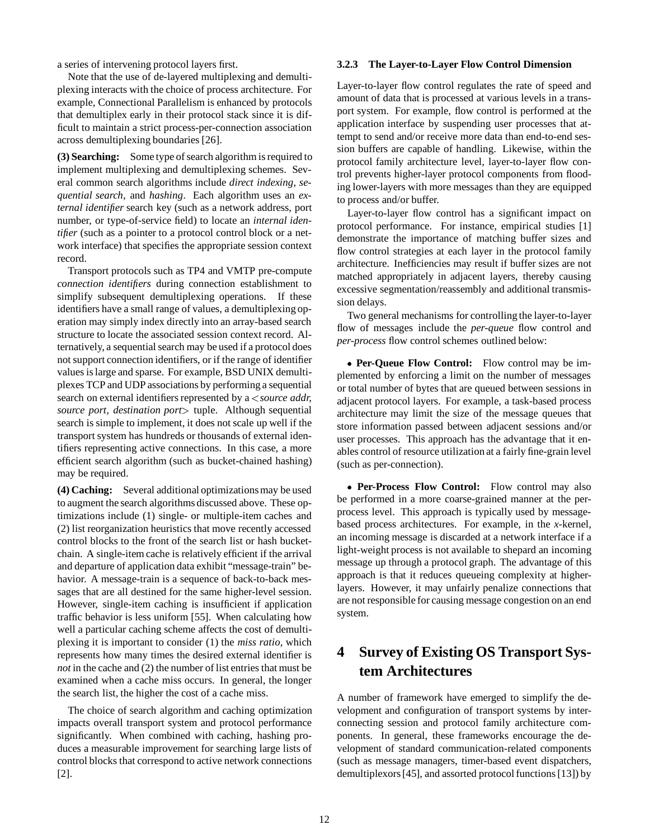a series of intervening protocol layers first.

Note that the use of de-layered multiplexing and demultiplexing interacts with the choice of process architecture. For example, Connectional Parallelism is enhanced by protocols that demultiplex early in their protocol stack since it is difficult to maintain a strict process-per-connection association across demultiplexing boundaries [26].

**(3) Searching:** Some type of search algorithm is required to implement multiplexing and demultiplexing schemes. Several common search algorithms include *direct indexing*, *sequential search*, and *hashing*. Each algorithm uses an *external identifier* search key (such as a network address, port number, or type-of-service field) to locate an *internal identifier* (such as a pointer to a protocol control block or a network interface) that specifies the appropriate session context record.

Transport protocols such as TP4 and VMTP pre-compute *connection identifiers* during connection establishment to simplify subsequent demultiplexing operations. If these identifiers have a small range of values, a demultiplexing operation may simply index directly into an array-based search structure to locate the associated session context record. Alternatively, a sequential search may be used if a protocol does not support connection identifiers, or if the range of identifier values is large and sparse. For example, BSD UNIX demultiplexes TCP and UDP associations by performing a sequential search on external identifiers represented by a <sup>&</sup>lt;*source addr, source port, destination port*<sup>&</sup>gt; tuple. Although sequential search is simple to implement, it does not scale up well if the transport system has hundreds or thousands of external identifiers representing active connections. In this case, a more efficient search algorithm (such as bucket-chained hashing) may be required.

**(4) Caching:** Several additional optimizationsmay be used to augment the search algorithms discussed above. These optimizations include (1) single- or multiple-item caches and (2) list reorganization heuristics that move recently accessed control blocks to the front of the search list or hash bucketchain. A single-item cache is relatively efficient if the arrival and departure of application data exhibit "message-train" behavior. A message-train is a sequence of back-to-back messages that are all destined for the same higher-level session. However, single-item caching is insufficient if application traffic behavior is less uniform [55]. When calculating how well a particular caching scheme affects the cost of demultiplexing it is important to consider (1) the *miss ratio*, which represents how many times the desired external identifier is *not* in the cache and (2) the number of list entries that must be examined when a cache miss occurs. In general, the longer the search list, the higher the cost of a cache miss.

The choice of search algorithm and caching optimization impacts overall transport system and protocol performance significantly. When combined with caching, hashing produces a measurable improvement for searching large lists of control blocks that correspond to active network connections [2].

#### **3.2.3 The Layer-to-Layer Flow Control Dimension**

Layer-to-layer flow control regulates the rate of speed and amount of data that is processed at various levels in a transport system. For example, flow control is performed at the application interface by suspending user processes that attempt to send and/or receive more data than end-to-end session buffers are capable of handling. Likewise, within the protocol family architecture level, layer-to-layer flow control prevents higher-layer protocol components from flooding lower-layers with more messages than they are equipped to process and/or buffer.

Layer-to-layer flow control has a significant impact on protocol performance. For instance, empirical studies [1] demonstrate the importance of matching buffer sizes and flow control strategies at each layer in the protocol family architecture. Inefficiencies may result if buffer sizes are not matched appropriately in adjacent layers, thereby causing excessive segmentation/reassembly and additional transmission delays.

Two general mechanisms for controlling the layer-to-layer flow of messages include the *per-queue* flow control and *per-process* flow control schemes outlined below:

 **Per-Queue Flow Control:** Flow control may be implemented by enforcing a limit on the number of messages or total number of bytes that are queued between sessions in adjacent protocol layers. For example, a task-based process architecture may limit the size of the message queues that store information passed between adjacent sessions and/or user processes. This approach has the advantage that it enables control of resource utilization at a fairly fine-grain level (such as per-connection).

 **Per-Process Flow Control:** Flow control may also be performed in a more coarse-grained manner at the perprocess level. This approach is typically used by messagebased process architectures. For example, in the *x*-kernel, an incoming message is discarded at a network interface if a light-weight process is not available to shepard an incoming message up through a protocol graph. The advantage of this approach is that it reduces queueing complexity at higherlayers. However, it may unfairly penalize connections that are not responsible for causing message congestion on an end system.

# **4 Survey of Existing OS Transport System Architectures**

A number of framework have emerged to simplify the development and configuration of transport systems by interconnecting session and protocol family architecture components. In general, these frameworks encourage the development of standard communication-related components (such as message managers, timer-based event dispatchers, demultiplexors [45], and assorted protocol functions [13]) by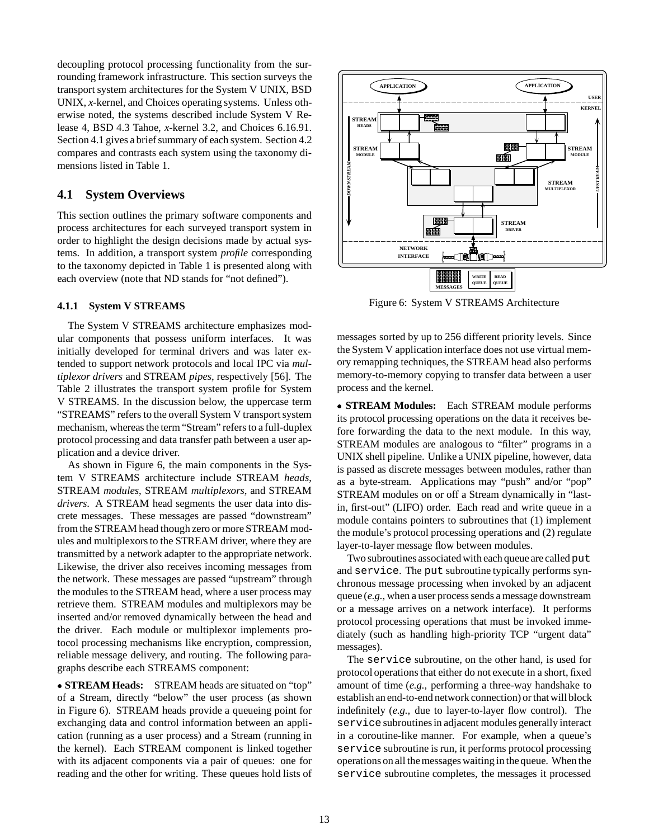decoupling protocol processing functionality from the surrounding framework infrastructure. This section surveys the transport system architectures for the System V UNIX, BSD UNIX, *x*-kernel, and Choices operating systems. Unless otherwise noted, the systems described include System V Release 4, BSD 4.3 Tahoe, *x*-kernel 3.2, and Choices 6.16.91. Section 4.1 gives a brief summary of each system. Section 4.2 compares and contrasts each system using the taxonomy dimensions listed in Table 1.

## **4.1 System Overviews**

This section outlines the primary software components and process architectures for each surveyed transport system in order to highlight the design decisions made by actual systems. In addition, a transport system *profile* corresponding to the taxonomy depicted in Table 1 is presented along with each overview (note that ND stands for "not defined").

#### **4.1.1 System V STREAMS**

The System V STREAMS architecture emphasizes modular components that possess uniform interfaces. It was initially developed for terminal drivers and was later extended to support network protocols and local IPC via *multiplexor drivers* and STREAM *pipes*, respectively [56]. The Table 2 illustrates the transport system profile for System V STREAMS. In the discussion below, the uppercase term "STREAMS" refers to the overall System V transport system mechanism, whereas the term "Stream" refers to a full-duplex protocol processing and data transfer path between a user application and a device driver.

As shown in Figure 6, the main components in the System V STREAMS architecture include STREAM *heads*, STREAM *modules*, STREAM *multiplexors*, and STREAM *drivers*. A STREAM head segments the user data into discrete messages. These messages are passed "downstream" from the STREAM head though zero or more STREAM modules and multiplexors to the STREAM driver, where they are transmitted by a network adapter to the appropriate network. Likewise, the driver also receives incoming messages from the network. These messages are passed "upstream" through the modules to the STREAM head, where a user process may retrieve them. STREAM modules and multiplexors may be inserted and/or removed dynamically between the head and the driver. Each module or multiplexor implements protocol processing mechanisms like encryption, compression, reliable message delivery, and routing. The following paragraphs describe each STREAMS component:

 **STREAM Heads:** STREAM heads are situated on "top" of a Stream, directly "below" the user process (as shown in Figure 6). STREAM heads provide a queueing point for exchanging data and control information between an application (running as a user process) and a Stream (running in the kernel). Each STREAM component is linked together with its adjacent components via a pair of queues: one for reading and the other for writing. These queues hold lists of

![](_page_12_Figure_7.jpeg)

Figure 6: System V STREAMS Architecture

messages sorted by up to 256 different priority levels. Since the System V application interface does not use virtual memory remapping techniques, the STREAM head also performs memory-to-memory copying to transfer data between a user process and the kernel.

 **STREAM Modules:** Each STREAM module performs its protocol processing operations on the data it receives before forwarding the data to the next module. In this way, STREAM modules are analogous to "filter" programs in a UNIX shell pipeline. Unlike a UNIX pipeline, however, data is passed as discrete messages between modules, rather than as a byte-stream. Applications may "push" and/or "pop" STREAM modules on or off a Stream dynamically in "lastin, first-out" (LIFO) order. Each read and write queue in a module contains pointers to subroutines that (1) implement the module's protocol processing operations and (2) regulate layer-to-layer message flow between modules.

Two subroutines associated with each queue are called put and service. The put subroutine typically performs synchronous message processing when invoked by an adjacent queue (*e.g.,* when a user process sends a message downstream or a message arrives on a network interface). It performs protocol processing operations that must be invoked immediately (such as handling high-priority TCP "urgent data" messages).

The service subroutine, on the other hand, is used for protocol operations that either do not execute in a short, fixed amount of time (*e.g.,* performing a three-way handshake to establish an end-to-end network connection) or that will block indefinitely (*e.g.,* due to layer-to-layer flow control). The service subroutines in adjacent modules generally interact in a coroutine-like manner. For example, when a queue's service subroutine is run, it performs protocol processing operations on all the messages waiting in the queue. When the service subroutine completes, the messages it processed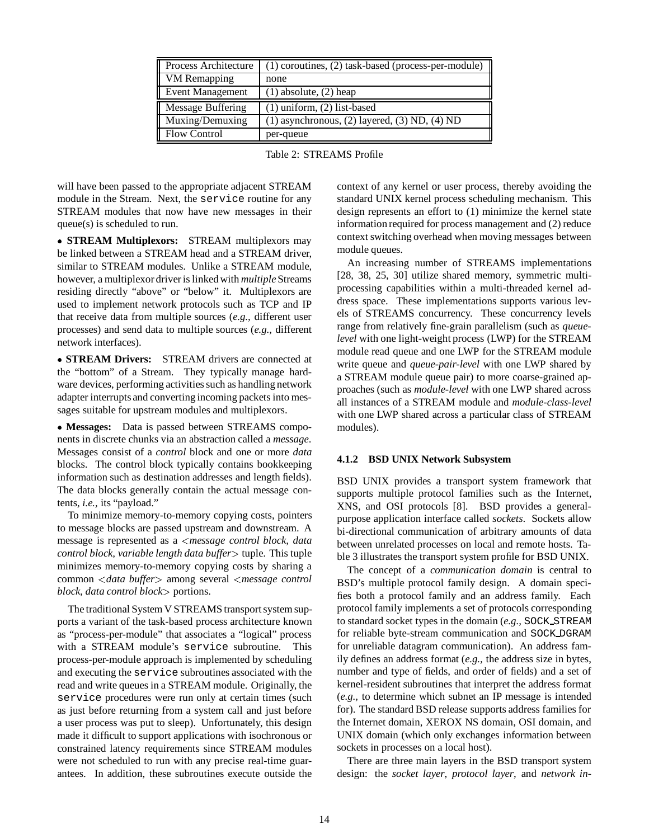| <b>Process Architecture</b> | $(1)$ coroutines, $(2)$ task-based (process-per-module) |
|-----------------------------|---------------------------------------------------------|
| <b>VM</b> Remapping         | none                                                    |
| Event Management            | $(1)$ absolute, $(2)$ heap                              |
| Message Buffering           | $(1)$ uniform, $(2)$ list-based                         |
| Muxing/Demuxing             | $(1)$ asynchronous, $(2)$ layered, $(3)$ ND, $(4)$ ND   |
| <b>Flow Control</b>         | per-queue                                               |

|  | Table 2: STREAMS Profile |  |
|--|--------------------------|--|
|--|--------------------------|--|

will have been passed to the appropriate adjacent STREAM module in the Stream. Next, the service routine for any STREAM modules that now have new messages in their queue(s) is scheduled to run.

 **STREAM Multiplexors:** STREAM multiplexors may be linked between a STREAM head and a STREAM driver, similar to STREAM modules. Unlike a STREAM module, however, a multiplexor driver is linked with *multiple*Streams residing directly "above" or "below" it. Multiplexors are used to implement network protocols such as TCP and IP that receive data from multiple sources (*e.g.,* different user processes) and send data to multiple sources (*e.g.,* different network interfaces).

 **STREAM Drivers:** STREAM drivers are connected at the "bottom" of a Stream. They typically manage hardware devices, performing activities such as handling network adapter interrupts and converting incoming packets into messages suitable for upstream modules and multiplexors.

 **Messages:** Data is passed between STREAMS components in discrete chunks via an abstraction called a *message*. Messages consist of a *control* block and one or more *data* blocks. The control block typically contains bookkeeping information such as destination addresses and length fields). The data blocks generally contain the actual message contents, *i.e.,* its "payload."

To minimize memory-to-memory copying costs, pointers to message blocks are passed upstream and downstream. A message is represented as a <sup>&</sup>lt;*message control block, data control block, variable length data buffer*<sup>&</sup>gt; tuple. This tuple minimizes memory-to-memory copying costs by sharing a common <sup>&</sup>lt;*data buffer*<sup>&</sup>gt; among several <sup>&</sup>lt;*message control block, data control block*<sup>&</sup>gt; portions.

The traditional System V STREAMS transport system supports a variant of the task-based process architecture known as "process-per-module" that associates a "logical" process with a STREAM module's service subroutine. This process-per-module approach is implemented by scheduling and executing the service subroutines associated with the read and write queues in a STREAM module. Originally, the service procedures were run only at certain times (such as just before returning from a system call and just before a user process was put to sleep). Unfortunately, this design made it difficult to support applications with isochronous or constrained latency requirements since STREAM modules were not scheduled to run with any precise real-time guarantees. In addition, these subroutines execute outside the

context of any kernel or user process, thereby avoiding the standard UNIX kernel process scheduling mechanism. This design represents an effort to (1) minimize the kernel state information required for process management and (2) reduce context switching overhead when moving messages between module queues.

An increasing number of STREAMS implementations [28, 38, 25, 30] utilize shared memory, symmetric multiprocessing capabilities within a multi-threaded kernel address space. These implementations supports various levels of STREAMS concurrency. These concurrency levels range from relatively fine-grain parallelism (such as *queuelevel* with one light-weight process (LWP) for the STREAM module read queue and one LWP for the STREAM module write queue and *queue-pair-level* with one LWP shared by a STREAM module queue pair) to more coarse-grained approaches (such as *module-level* with one LWP shared across all instances of a STREAM module and *module-class-level* with one LWP shared across a particular class of STREAM modules).

#### **4.1.2 BSD UNIX Network Subsystem**

BSD UNIX provides a transport system framework that supports multiple protocol families such as the Internet, XNS, and OSI protocols [8]. BSD provides a generalpurpose application interface called *sockets*. Sockets allow bi-directional communication of arbitrary amounts of data between unrelated processes on local and remote hosts. Table 3 illustrates the transport system profile for BSD UNIX.

The concept of a *communication domain* is central to BSD's multiple protocol family design. A domain specifies both a protocol family and an address family. Each protocol family implements a set of protocols corresponding to standard socket types in the domain (*e.g.,* SOCK STREAM for reliable byte-stream communication and SOCK DGRAM for unreliable datagram communication). An address family defines an address format (*e.g.,* the address size in bytes, number and type of fields, and order of fields) and a set of kernel-resident subroutines that interpret the address format (*e.g.,* to determine which subnet an IP message is intended for). The standard BSD release supports address families for the Internet domain, XEROX NS domain, OSI domain, and UNIX domain (which only exchanges information between sockets in processes on a local host).

There are three main layers in the BSD transport system design: the *socket layer*, *protocol layer*, and *network in-*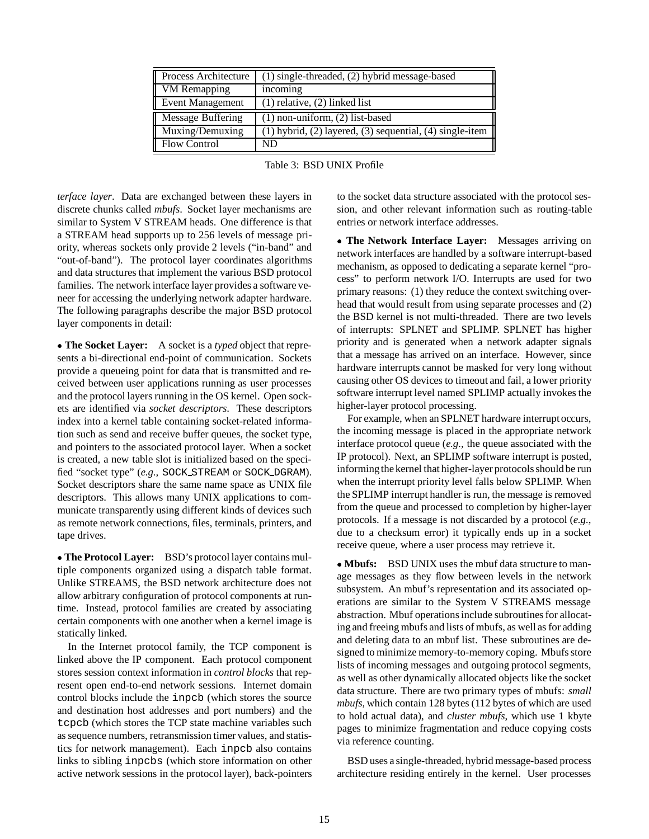| Process Architecture | $\overline{(1)}$ single-threaded, (2) hybrid message-based           |
|----------------------|----------------------------------------------------------------------|
| VM Remapping         | incoming                                                             |
| Event Management     | $(1)$ relative, $(2)$ linked list                                    |
| Message Buffering    | $(1)$ non-uniform, $(2)$ list-based                                  |
| Muxing/Demuxing      | (1) hybrid, (2) layered, (3) sequential, (4) single-item $\parallel$ |
| <b>Flow Control</b>  | ND                                                                   |

| Table 3: BSD UNIX Profile |
|---------------------------|
|                           |

*terface layer*. Data are exchanged between these layers in discrete chunks called *mbufs*. Socket layer mechanisms are similar to System V STREAM heads. One difference is that a STREAM head supports up to 256 levels of message priority, whereas sockets only provide 2 levels ("in-band" and "out-of-band"). The protocol layer coordinates algorithms and data structures that implement the various BSD protocol families. The network interface layer provides a software veneer for accessing the underlying network adapter hardware. The following paragraphs describe the major BSD protocol layer components in detail:

 **The Socket Layer:** A socket is a *typed* object that represents a bi-directional end-point of communication. Sockets provide a queueing point for data that is transmitted and received between user applications running as user processes and the protocol layers running in the OS kernel. Open sockets are identified via *socket descriptors*. These descriptors index into a kernel table containing socket-related information such as send and receive buffer queues, the socket type, and pointers to the associated protocol layer. When a socket is created, a new table slot is initialized based on the specified "socket type" (*e.g.,* SOCK STREAM or SOCK DGRAM). Socket descriptors share the same name space as UNIX file descriptors. This allows many UNIX applications to communicate transparently using different kinds of devices such as remote network connections, files, terminals, printers, and tape drives.

 **The Protocol Layer:** BSD's protocol layer contains multiple components organized using a dispatch table format. Unlike STREAMS, the BSD network architecture does not allow arbitrary configuration of protocol components at runtime. Instead, protocol families are created by associating certain components with one another when a kernel image is statically linked.

In the Internet protocol family, the TCP component is linked above the IP component. Each protocol component stores session context information in *control blocks* that represent open end-to-end network sessions. Internet domain control blocks include the inpcb (which stores the source and destination host addresses and port numbers) and the tcpcb (which stores the TCP state machine variables such as sequence numbers, retransmission timer values, and statistics for network management). Each inpcb also contains links to sibling inpcbs (which store information on other active network sessions in the protocol layer), back-pointers

to the socket data structure associated with the protocol session, and other relevant information such as routing-table entries or network interface addresses.

 **The Network Interface Layer:** Messages arriving on network interfaces are handled by a software interrupt-based mechanism, as opposed to dedicating a separate kernel "process" to perform network I/O. Interrupts are used for two primary reasons: (1) they reduce the context switching overhead that would result from using separate processes and (2) the BSD kernel is not multi-threaded. There are two levels of interrupts: SPLNET and SPLIMP. SPLNET has higher priority and is generated when a network adapter signals that a message has arrived on an interface. However, since hardware interrupts cannot be masked for very long without causing other OS devices to timeout and fail, a lower priority software interrupt level named SPLIMP actually invokes the higher-layer protocol processing.

For example, when an SPLNET hardware interrupt occurs, the incoming message is placed in the appropriate network interface protocol queue (*e.g.,* the queue associated with the IP protocol). Next, an SPLIMP software interrupt is posted, informing the kernel that higher-layer protocols should be run when the interrupt priority level falls below SPLIMP. When the SPLIMP interrupt handler is run, the message is removed from the queue and processed to completion by higher-layer protocols. If a message is not discarded by a protocol (*e.g.,* due to a checksum error) it typically ends up in a socket receive queue, where a user process may retrieve it.

 **Mbufs:** BSD UNIX uses the mbuf data structure to manage messages as they flow between levels in the network subsystem. An mbuf's representation and its associated operations are similar to the System V STREAMS message abstraction. Mbuf operations include subroutines for allocating and freeing mbufs and lists of mbufs, as well as for adding and deleting data to an mbuf list. These subroutines are designed to minimize memory-to-memory coping. Mbufs store lists of incoming messages and outgoing protocol segments, as well as other dynamically allocated objects like the socket data structure. There are two primary types of mbufs: *small mbufs*, which contain 128 bytes (112 bytes of which are used to hold actual data), and *cluster mbufs*, which use 1 kbyte pages to minimize fragmentation and reduce copying costs via reference counting.

BSD uses a single-threaded, hybrid message-based process architecture residing entirely in the kernel. User processes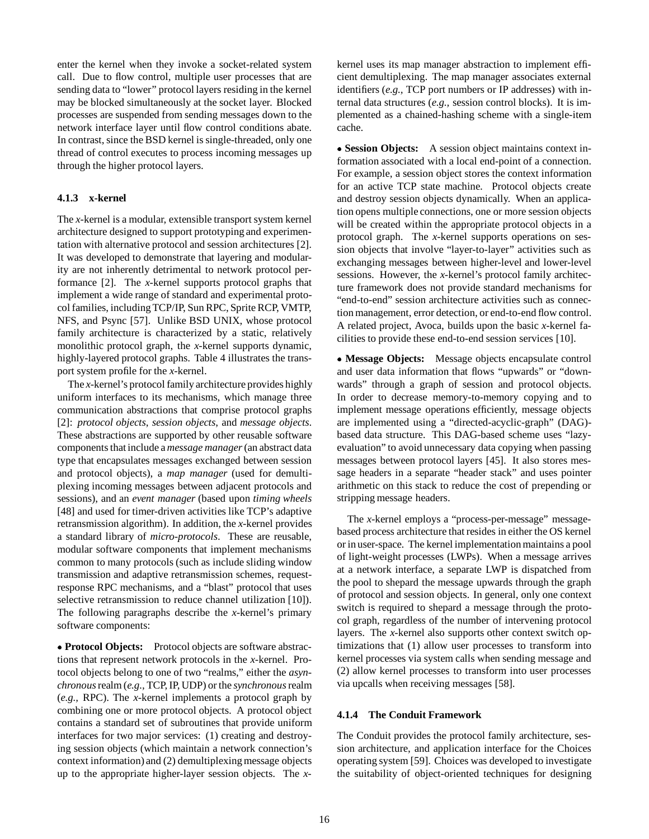enter the kernel when they invoke a socket-related system call. Due to flow control, multiple user processes that are sending data to "lower" protocol layers residing in the kernel may be blocked simultaneously at the socket layer. Blocked processes are suspended from sending messages down to the network interface layer until flow control conditions abate. In contrast, since the BSD kernel is single-threaded, only one thread of control executes to process incoming messages up through the higher protocol layers.

### **4.1.3 x-kernel**

The *x*-kernel is a modular, extensible transport system kernel architecture designed to support prototyping and experimentation with alternative protocol and session architectures [2]. It was developed to demonstrate that layering and modularity are not inherently detrimental to network protocol performance [2]. The *x*-kernel supports protocol graphs that implement a wide range of standard and experimental protocol families, including TCP/IP, Sun RPC, Sprite RCP, VMTP, NFS, and Psync [57]. Unlike BSD UNIX, whose protocol family architecture is characterized by a static, relatively monolithic protocol graph, the *x*-kernel supports dynamic, highly-layered protocol graphs. Table 4 illustrates the transport system profile for the *x*-kernel.

The *x*-kernel's protocol family architecture provides highly uniform interfaces to its mechanisms, which manage three communication abstractions that comprise protocol graphs [2]: *protocol objects*, *session objects*, and *message objects*. These abstractions are supported by other reusable software components that include a *message manager*(an abstract data type that encapsulates messages exchanged between session and protocol objects), a *map manager* (used for demultiplexing incoming messages between adjacent protocols and sessions), and an *event manager* (based upon *timing wheels* [48] and used for timer-driven activities like TCP's adaptive retransmission algorithm). In addition, the *x*-kernel provides a standard library of *micro-protocols*. These are reusable, modular software components that implement mechanisms common to many protocols (such as include sliding window transmission and adaptive retransmission schemes, requestresponse RPC mechanisms, and a "blast" protocol that uses selective retransmission to reduce channel utilization [10]). The following paragraphs describe the *x*-kernel's primary software components:

 **Protocol Objects:** Protocol objects are software abstractions that represent network protocols in the *x*-kernel. Protocol objects belong to one of two "realms," either the *asynchronous*realm (*e.g.,* TCP, IP, UDP) or the *synchronous*realm (*e.g.,* RPC). The *x*-kernel implements a protocol graph by combining one or more protocol objects. A protocol object contains a standard set of subroutines that provide uniform interfaces for two major services: (1) creating and destroying session objects (which maintain a network connection's context information) and (2) demultiplexing message objects up to the appropriate higher-layer session objects. The *x*-

kernel uses its map manager abstraction to implement efficient demultiplexing. The map manager associates external identifiers (*e.g.,* TCP port numbers or IP addresses) with internal data structures (*e.g.,* session control blocks). It is implemented as a chained-hashing scheme with a single-item cache.

 **Session Objects:** A session object maintains context information associated with a local end-point of a connection. For example, a session object stores the context information for an active TCP state machine. Protocol objects create and destroy session objects dynamically. When an application opens multiple connections, one or more session objects will be created within the appropriate protocol objects in a protocol graph. The *x*-kernel supports operations on session objects that involve "layer-to-layer" activities such as exchanging messages between higher-level and lower-level sessions. However, the *x*-kernel's protocol family architecture framework does not provide standard mechanisms for "end-to-end" session architecture activities such as connection management, error detection, or end-to-end flow control. A related project, Avoca, builds upon the basic *x*-kernel facilities to provide these end-to-end session services [10].

 **Message Objects:** Message objects encapsulate control and user data information that flows "upwards" or "downwards" through a graph of session and protocol objects. In order to decrease memory-to-memory copying and to implement message operations efficiently, message objects are implemented using a "directed-acyclic-graph" (DAG) based data structure. This DAG-based scheme uses "lazyevaluation" to avoid unnecessary data copying when passing messages between protocol layers [45]. It also stores message headers in a separate "header stack" and uses pointer arithmetic on this stack to reduce the cost of prepending or stripping message headers.

The *x*-kernel employs a "process-per-message" messagebased process architecture that resides in either the OS kernel or in user-space. The kernel implementation maintains a pool of light-weight processes (LWPs). When a message arrives at a network interface, a separate LWP is dispatched from the pool to shepard the message upwards through the graph of protocol and session objects. In general, only one context switch is required to shepard a message through the protocol graph, regardless of the number of intervening protocol layers. The *x*-kernel also supports other context switch optimizations that (1) allow user processes to transform into kernel processes via system calls when sending message and (2) allow kernel processes to transform into user processes via upcalls when receiving messages [58].

#### **4.1.4 The Conduit Framework**

The Conduit provides the protocol family architecture, session architecture, and application interface for the Choices operating system [59]. Choices was developed to investigate the suitability of object-oriented techniques for designing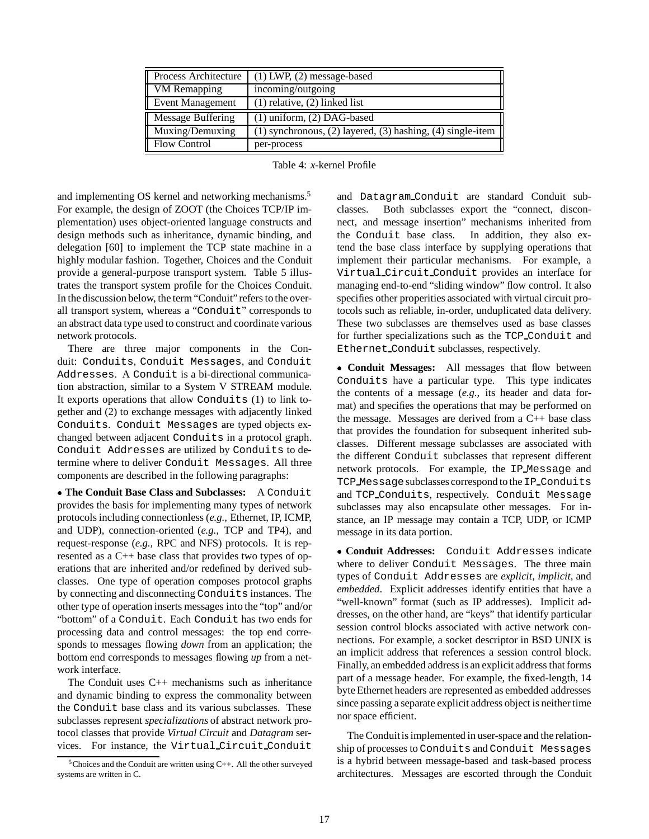| Process Architecture     | $(1)$ LWP, $(2)$ message-based                                         |
|--------------------------|------------------------------------------------------------------------|
| VM Remapping             | incoming/outgoing                                                      |
| <b>Event Management</b>  | $(1)$ relative, $(2)$ linked list                                      |
| <b>Message Buffering</b> | $(1)$ uniform, $(2)$ DAG-based                                         |
| Muxing/Demuxing          | (1) synchronous, (2) layered, (3) hashing, (4) single-item $\parallel$ |
| <b>Flow Control</b>      | per-process                                                            |

Table 4: *x*-kernel Profile

and implementing OS kernel and networking mechanisms.<sup>5</sup> For example, the design of ZOOT (the Choices TCP/IP implementation) uses object-oriented language constructs and design methods such as inheritance, dynamic binding, and delegation [60] to implement the TCP state machine in a highly modular fashion. Together, Choices and the Conduit provide a general-purpose transport system. Table 5 illustrates the transport system profile for the Choices Conduit. In the discussion below, the term "Conduit" refers to the overall transport system, whereas a "Conduit" corresponds to an abstract data type used to construct and coordinate various network protocols.

There are three major components in the Conduit: Conduits, Conduit Messages, and Conduit Addresses. A Conduit is a bi-directional communication abstraction, similar to a System V STREAM module. It exports operations that allow Conduits (1) to link together and (2) to exchange messages with adjacently linked Conduits. Conduit Messages are typed objects exchanged between adjacent Conduits in a protocol graph. Conduit Addresses are utilized by Conduits to determine where to deliver Conduit Messages. All three components are described in the following paragraphs:

**The Conduit Base Class and Subclasses:** A Conduit provides the basis for implementing many types of network protocols including connectionless (*e.g.,* Ethernet, IP, ICMP, and UDP), connection-oriented (*e.g.,* TCP and TP4), and request-response (*e.g.,* RPC and NFS) protocols. It is represented as a C++ base class that provides two types of operations that are inherited and/or redefined by derived subclasses. One type of operation composes protocol graphs by connecting and disconnecting Conduits instances. The other type of operation inserts messages into the "top" and/or "bottom" of a Conduit. Each Conduit has two ends for processing data and control messages: the top end corresponds to messages flowing *down* from an application; the bottom end corresponds to messages flowing *up* from a network interface.

The Conduit uses C++ mechanisms such as inheritance and dynamic binding to express the commonality between the Conduit base class and its various subclasses. These subclasses represent *specializations* of abstract network protocol classes that provide *Virtual Circuit* and *Datagram* services. For instance, the Virtual Circuit Conduit

and Datagram Conduit are standard Conduit subclasses. Both subclasses export the "connect, disconnect, and message insertion" mechanisms inherited from the Conduit base class. In addition, they also extend the base class interface by supplying operations that implement their particular mechanisms. For example, a Virtual Circuit Conduit provides an interface for managing end-to-end "sliding window" flow control. It also specifies other properities associated with virtual circuit protocols such as reliable, in-order, unduplicated data delivery. These two subclasses are themselves used as base classes for further specializations such as the TCP Conduit and Ethernet Conduit subclasses, respectively.

 **Conduit Messages:** All messages that flow between Conduits have a particular type. This type indicates the contents of a message (*e.g.,* its header and data format) and specifies the operations that may be performed on the message. Messages are derived from a C++ base class that provides the foundation for subsequent inherited subclasses. Different message subclasses are associated with the different Conduit subclasses that represent different network protocols. For example, the IP Message and TCP Message subclasses correspond to the IP Conduits and TCP Conduits, respectively. Conduit Message subclasses may also encapsulate other messages. For instance, an IP message may contain a TCP, UDP, or ICMP message in its data portion.

 **Conduit Addresses:** Conduit Addresses indicate where to deliver Conduit Messages. The three main types of Conduit Addresses are *explicit*, *implicit*, and *embedded*. Explicit addresses identify entities that have a "well-known" format (such as IP addresses). Implicit addresses, on the other hand, are "keys" that identify particular session control blocks associated with active network connections. For example, a socket descriptor in BSD UNIX is an implicit address that references a session control block. Finally, an embedded address is an explicit address that forms part of a message header. For example, the fixed-length, 14 byte Ethernet headers are represented as embedded addresses since passing a separate explicit address object is neither time nor space efficient.

The Conduit is implemented in user-space and the relationship of processes to Conduits and Conduit Messages is a hybrid between message-based and task-based process architectures. Messages are escorted through the Conduit

 $5$ Choices and the Conduit are written using C++. All the other surveyed systems are written in C.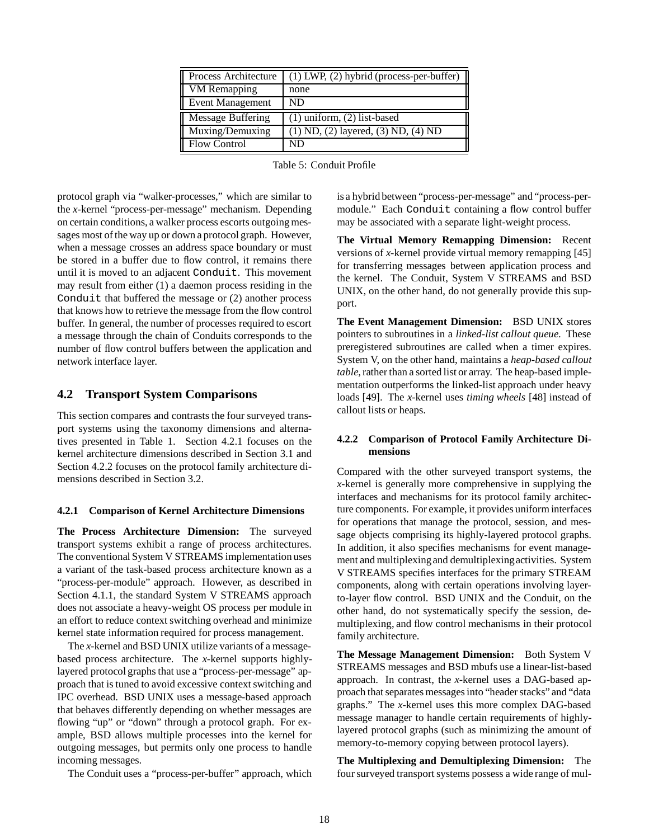| Process Architecture     | $(1)$ LWP, $(2)$ hybrid (process-per-buffer) |
|--------------------------|----------------------------------------------|
| VM Remapping             | none                                         |
| <b>Event Management</b>  | ND                                           |
| <b>Message Buffering</b> | $(1)$ uniform, $(2)$ list-based              |
| Muxing/Demuxing          | $(1)$ ND, $(2)$ layered, $(3)$ ND, $(4)$ ND  |
| <b>Flow Control</b>      | ND                                           |

Table 5: Conduit Profile

protocol graph via "walker-processes," which are similar to the *x*-kernel "process-per-message" mechanism. Depending on certain conditions, a walker process escorts outgoing messages most of the way up or down a protocol graph. However, when a message crosses an address space boundary or must be stored in a buffer due to flow control, it remains there until it is moved to an adjacent Conduit. This movement may result from either (1) a daemon process residing in the Conduit that buffered the message or (2) another process that knows how to retrieve the message from the flow control buffer. In general, the number of processes required to escort a message through the chain of Conduits corresponds to the number of flow control buffers between the application and network interface layer.

### **4.2 Transport System Comparisons**

This section compares and contrasts the four surveyed transport systems using the taxonomy dimensions and alternatives presented in Table 1. Section 4.2.1 focuses on the kernel architecture dimensions described in Section 3.1 and Section 4.2.2 focuses on the protocol family architecture dimensions described in Section 3.2.

#### **4.2.1 Comparison of Kernel Architecture Dimensions**

**The Process Architecture Dimension:** The surveyed transport systems exhibit a range of process architectures. The conventional System V STREAMS implementation uses a variant of the task-based process architecture known as a "process-per-module" approach. However, as described in Section 4.1.1, the standard System V STREAMS approach does not associate a heavy-weight OS process per module in an effort to reduce context switching overhead and minimize kernel state information required for process management.

The *x*-kernel and BSD UNIX utilize variants of a messagebased process architecture. The *x*-kernel supports highlylayered protocol graphs that use a "process-per-message" approach that is tuned to avoid excessive context switching and IPC overhead. BSD UNIX uses a message-based approach that behaves differently depending on whether messages are flowing "up" or "down" through a protocol graph. For example, BSD allows multiple processes into the kernel for outgoing messages, but permits only one process to handle incoming messages.

The Conduit uses a "process-per-buffer" approach, which

is a hybrid between "process-per-message" and "process-permodule." Each Conduit containing a flow control buffer may be associated with a separate light-weight process.

**The Virtual Memory Remapping Dimension:** Recent versions of *x*-kernel provide virtual memory remapping [45] for transferring messages between application process and the kernel. The Conduit, System V STREAMS and BSD UNIX, on the other hand, do not generally provide this support.

**The Event Management Dimension:** BSD UNIX stores pointers to subroutines in a *linked-list callout queue*. These preregistered subroutines are called when a timer expires. System V, on the other hand, maintains a *heap-based callout table*, rather than a sorted list or array. The heap-based implementation outperforms the linked-list approach under heavy loads [49]. The *x*-kernel uses *timing wheels* [48] instead of callout lists or heaps.

### **4.2.2 Comparison of Protocol Family Architecture Dimensions**

Compared with the other surveyed transport systems, the *x*-kernel is generally more comprehensive in supplying the interfaces and mechanisms for its protocol family architecture components. For example, it provides uniform interfaces for operations that manage the protocol, session, and message objects comprising its highly-layered protocol graphs. In addition, it also specifies mechanisms for event management and multiplexingand demultiplexingactivities. System V STREAMS specifies interfaces for the primary STREAM components, along with certain operations involving layerto-layer flow control. BSD UNIX and the Conduit, on the other hand, do not systematically specify the session, demultiplexing, and flow control mechanisms in their protocol family architecture.

**The Message Management Dimension:** Both System V STREAMS messages and BSD mbufs use a linear-list-based approach. In contrast, the *x*-kernel uses a DAG-based approach that separates messages into "header stacks" and "data graphs." The *x*-kernel uses this more complex DAG-based message manager to handle certain requirements of highlylayered protocol graphs (such as minimizing the amount of memory-to-memory copying between protocol layers).

**The Multiplexing and Demultiplexing Dimension:** The four surveyed transport systems possess a wide range of mul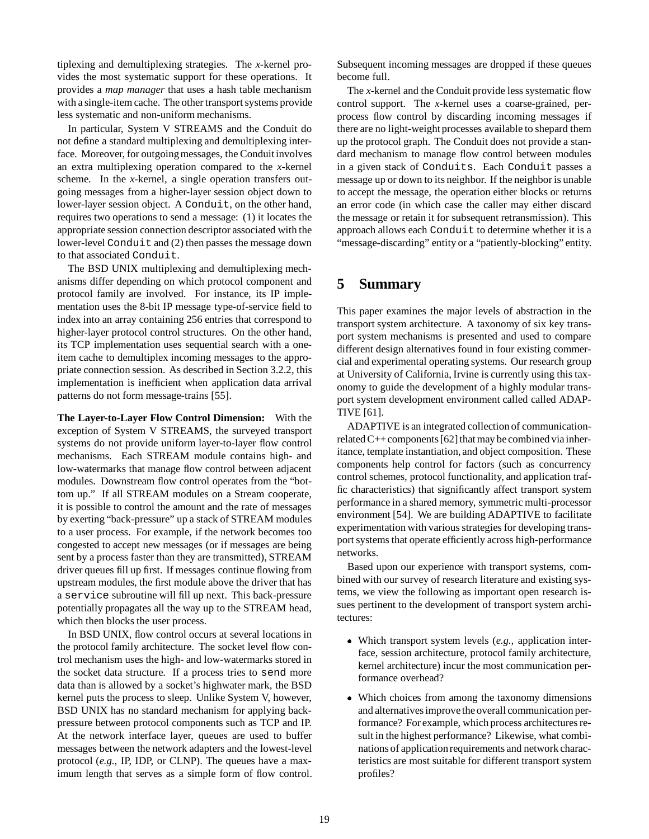tiplexing and demultiplexing strategies. The *x*-kernel provides the most systematic support for these operations. It provides a *map manager* that uses a hash table mechanism with a single-item cache. The other transport systems provide less systematic and non-uniform mechanisms.

In particular, System V STREAMS and the Conduit do not define a standard multiplexing and demultiplexing interface. Moreover, for outgoing messages, the Conduit involves an extra multiplexing operation compared to the *x*-kernel scheme. In the *x*-kernel, a single operation transfers outgoing messages from a higher-layer session object down to lower-layer session object. A Conduit, on the other hand, requires two operations to send a message: (1) it locates the appropriate session connection descriptor associated with the lower-level Conduit and (2) then passes the message down to that associated Conduit.

The BSD UNIX multiplexing and demultiplexing mechanisms differ depending on which protocol component and protocol family are involved. For instance, its IP implementation uses the 8-bit IP message type-of-service field to index into an array containing 256 entries that correspond to higher-layer protocol control structures. On the other hand, its TCP implementation uses sequential search with a oneitem cache to demultiplex incoming messages to the appropriate connection session. As described in Section 3.2.2, this implementation is inefficient when application data arrival patterns do not form message-trains [55].

**The Layer-to-Layer Flow Control Dimension:** With the exception of System V STREAMS, the surveyed transport systems do not provide uniform layer-to-layer flow control mechanisms. Each STREAM module contains high- and low-watermarks that manage flow control between adjacent modules. Downstream flow control operates from the "bottom up." If all STREAM modules on a Stream cooperate, it is possible to control the amount and the rate of messages by exerting "back-pressure" up a stack of STREAM modules to a user process. For example, if the network becomes too congested to accept new messages (or if messages are being sent by a process faster than they are transmitted), STREAM driver queues fill up first. If messages continue flowing from upstream modules, the first module above the driver that has a service subroutine will fill up next. This back-pressure potentially propagates all the way up to the STREAM head, which then blocks the user process.

In BSD UNIX, flow control occurs at several locations in the protocol family architecture. The socket level flow control mechanism uses the high- and low-watermarks stored in the socket data structure. If a process tries to send more data than is allowed by a socket's highwater mark, the BSD kernel puts the process to sleep. Unlike System V, however, BSD UNIX has no standard mechanism for applying backpressure between protocol components such as TCP and IP. At the network interface layer, queues are used to buffer messages between the network adapters and the lowest-level protocol (*e.g.,* IP, IDP, or CLNP). The queues have a maximum length that serves as a simple form of flow control. Subsequent incoming messages are dropped if these queues become full.

The *x*-kernel and the Conduit provide less systematic flow control support. The *x*-kernel uses a coarse-grained, perprocess flow control by discarding incoming messages if there are no light-weight processes available to shepard them up the protocol graph. The Conduit does not provide a standard mechanism to manage flow control between modules in a given stack of Conduits. Each Conduit passes a message up or down to its neighbor. If the neighbor is unable to accept the message, the operation either blocks or returns an error code (in which case the caller may either discard the message or retain it for subsequent retransmission). This approach allows each Conduit to determine whether it is a "message-discarding" entity or a "patiently-blocking" entity.

## **5 Summary**

This paper examines the major levels of abstraction in the transport system architecture. A taxonomy of six key transport system mechanisms is presented and used to compare different design alternatives found in four existing commercial and experimental operating systems. Our research group at University of California, Irvine is currently using this taxonomy to guide the development of a highly modular transport system development environment called called ADAP-TIVE [61].

ADAPTIVE is an integrated collection of communicationrelated  $C++$  components [62] that may be combined via inheritance, template instantiation, and object composition. These components help control for factors (such as concurrency control schemes, protocol functionality, and application traffic characteristics) that significantly affect transport system performance in a shared memory, symmetric multi-processor environment [54]. We are building ADAPTIVE to facilitate experimentation with various strategies for developing transport systems that operate efficiently across high-performance networks.

Based upon our experience with transport systems, combined with our survey of research literature and existing systems, we view the following as important open research issues pertinent to the development of transport system architectures:

- Which transport system levels (*e.g.,* application interface, session architecture, protocol family architecture, kernel architecture) incur the most communication performance overhead?
- Which choices from among the taxonomy dimensions and alternatives improve the overall communication performance? For example, which process architectures result in the highest performance? Likewise, what combinations of application requirements and network characteristics are most suitable for different transport system profiles?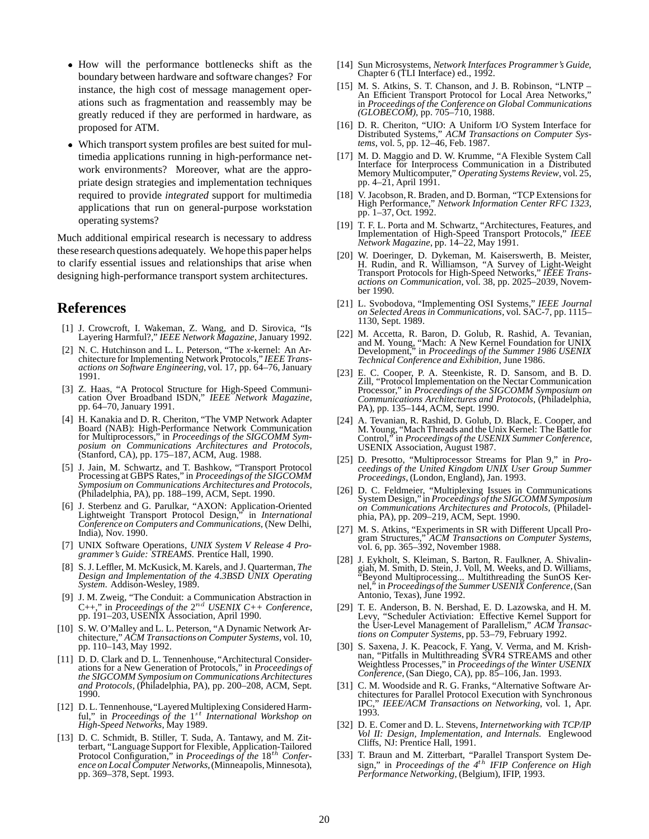- How will the performance bottlenecks shift as the boundary between hardware and software changes? For instance, the high cost of message management operations such as fragmentation and reassembly may be greatly reduced if they are performed in hardware, as proposed for ATM.
- Which transport system profiles are best suited for multimedia applications running in high-performance network environments? Moreover, what are the appropriate design strategies and implementation techniques required to provide *integrated* support for multimedia applications that run on general-purpose workstation operating systems?

Much additional empirical research is necessary to address these research questions adequately. We hope this paper helps to clarify essential issues and relationships that arise when designing high-performance transport system architectures.

## **References**

- [1] J. Crowcroft, I. Wakeman, Z. Wang, and D. Sirovica, "Is Layering Harmful?," *IEEE Network Magazine*, January 1992.
- [2] N. C. Hutchinson and L. L. Peterson, "The *x*-kernel: An Architecture for Implementing Network Protocols," *IEEE Transactions on Software Engineering*, vol. 17, pp. 64–76, January 1991.
- [3] Z. Haas, "A Protocol Structure for High-Speed Communication Over Broadband ISDN," *IEEE Network Magazine*, pp. 64–70, January 1991.
- [4] H. Kanakia and D. R. Cheriton, "The VMP Network Adapter Board (NAB): High-Performance Network Communication for Multiprocessors," in *Proceedings of the SIGCOMM Symposium on Communications Architectures and Protocols*, (Stanford, CA), pp. 175–187, ACM, Aug. 1988.
- [5] J. Jain, M. Schwartz, and T. Bashkow, "Transport Protocol Processing at GBPS Rates," in *Proceedingsof the SIGCOMM Symposium on Communications Architectures and Protocols*, (Philadelphia, PA), pp. 188–199, ACM, Sept. 1990.
- [6] J. Sterbenz and G. Parulkar, "AXON: Application-Oriented Lightweight Transport Protocol Design," in *International Conference on Computers and Communications*, (New Delhi, India), Nov. 1990.
- [7] UNIX Software Operations, *UNIX System V Release 4 Programmer's Guide: STREAMS*. Prentice Hall, 1990.
- [8] S. J. Leffler, M. McKusick, M. Karels, and J. Quarterman, *The Design and Implementation of the 4.3BSD UNIX Operating System*. Addison-Wesley, 1989.
- [9] J. M. Zweig, "The Conduit: a Communication Abstraction in C++," in *Proceedings of the*  $2^{nd}$  *USENIX C++ Conference*, pp. 191–203, USENIX Association, April 1990.
- [10] S. W. O'Malley and L. L. Peterson, "A Dynamic Network Architecture," *ACM Transactionson Computer Systems*, vol. 10, pp. 110–143, May 1992.
- [11] D. D. Clark and D. L. Tennenhouse, "Architectural Considerations for a New Generation of Protocols," in *Proceedings of the SIGCOMM Symposium on Communications Architectures and Protocols*, (Philadelphia, PA), pp. 200–208, ACM, Sept. 1990.
- [12] D. L. Tennenhouse, "Layered Multiplexing Considered Harmful," in *Proceedings of the* 1st *International Workshop on High-Speed Networks*, May 1989.
- [13] D. C. Schmidt, B. Stiller, T. Suda, A. Tantawy, and M. Zitterbart, "Language Support for Flexible, Application-Tailored Protocol Configuration," in *Proceedings of the* 18th *Conference on Local Computer Networks*,(Minneapolis, Minnesota), pp. 369–378, Sept. 1993.
- [14] Sun Microsystems, *Network Interfaces Programmer's Guide*, Chapter 6 (TLI Interface) ed., 1992.
- [15] M. S. Atkins, S. T. Chanson, and J. B. Robinson, "LNTP An Efficient Transport Protocol for Local Area Networks," in *Proceedings of the Conference on Global Communications (GLOBECOM)*, pp. 705–710, 1988.
- [16] D. R. Cheriton, "UIO: A Uniform I/O System Interface for Distributed Systems," *ACM Transactions on Computer Systems*, vol. 5, pp. 12–46, Feb. 1987.
- [17] M. D. Maggio and D. W. Krumme, "A Flexible System Call Interface for Interprocess Communication in a Distributed Memory Multicomputer," *Operating Systems Review*, vol. 25, pp. 4–21, April 1991.
- [18] V. Jacobson, R. Braden, and D. Borman, "TCP Extensions for High Performance," *Network Information Center RFC 1323*, pp. 1–37, Oct. 1992.
- [19] T. F. L. Porta and M. Schwartz, "Architectures, Features, and Implementation of High-Speed Transport Protocols," *IEEE Network Magazine*, pp. 14–22, May 1991.
- [20] W. Doeringer, D. Dykeman, M. Kaiserswerth, B. Meister, H. Rudin, and R. Williamson, "A Survey of Light-Weight Transport Protocols for High-Speed Networks," *IEEE Transactions on Communication*, vol. 38, pp. 2025–2039, November 1990.
- [21] L. Svobodova, "Implementing OSI Systems," *IEEE Journal on Selected Areas in Communications*, vol. SAC-7, pp. 1115– 1130, Sept. 1989.
- [22] M. Accetta, R. Baron, D. Golub, R. Rashid, A. Tevanian, and M. Young, "Mach: A New Kernel Foundation for UNIX Development," in *Proceedings of the Summer 1986 USENIX Technical Conference and Exhibition*, June 1986.
- [23] E. C. Cooper, P. A. Steenkiste, R. D. Sansom, and B. D. Zill, "Protocol Implementation on the Nectar Communication Processor," in *Proceedings of the SIGCOMM Symposium on Communications Architectures and Protocols*, (Philadelphia, PA), pp. 135–144, ACM, Sept. 1990.
- [24] A. Tevanian, R. Rashid, D. Golub, D. Black, E. Cooper, and M. Young, "Mach Threads and the Unix Kernel: The Battle for Control," in *Proceedings of the USENIX Summer Conference*, USENIX Association, August 1987.
- [25] D. Presotto, "Multiprocessor Streams for Plan 9," in *Proceedings of the United Kingdom UNIX User Group Summer Proceedings*, (London, England), Jan. 1993.
- [26] D. C. Feldmeier, "Multiplexing Issues in Communications System Design," in *Proceedings of the SIGCOMM Symposium on Communications Architectures and Protocols*, (Philadelphia, PA), pp. 209–219, ACM, Sept. 1990.
- [27] M. S. Atkins, "Experiments in SR with Different Upcall Program Structures," *ACM Transactions on Computer Systems*, vol. 6, pp. 365–392, November 1988.
- [28] J. Eykholt, S. Kleiman, S. Barton, R. Faulkner, A. Shivalingiah, M. Smith, D. Stein, J. Voll, M. Weeks, and D. Williams, "Beyond Multiprocessing... Multithreading the SunOS Kernel," in *Proceedingsof the Summer USENIX Conference*,(San Antonio, Texas), June 1992.
- [29] T. E. Anderson, B. N. Bershad, E. D. Lazowska, and H. M. Levy, "Scheduler Activiation: Effective Kernel Support for the User-Level Management of Parallelism," *ACM Transactions on Computer Systems*, pp. 53–79, February 1992.
- [30] S. Saxena, J. K. Peacock, F. Yang, V. Verma, and M. Krishnan, "Pitfalls in Multithreading SVR4 STREAMS and other Weightless Processes," in *Proceedings of the Winter USENIX Conference*, (San Diego, CA), pp. 85–106, Jan. 1993.
- [31] C. M. Woodside and R. G. Franks, "Alternative Software Architectures for Parallel Protocol Execution with Synchronous IPC," *IEEE/ACM Transactions on Networking*, vol. 1, Apr. 1993.
- [32] D. E. Comer and D. L. Stevens, *Internetworking with TCP/IP Vol II: Design, Implementation, and Internals*. Englewood Cliffs, NJ: Prentice Hall, 1991.
- [33] T. Braun and M. Zitterbart, "Parallel Transport System Design," in *Proceedings of the 4*th *IFIP Conference on High Performance Networking*, (Belgium), IFIP, 1993.